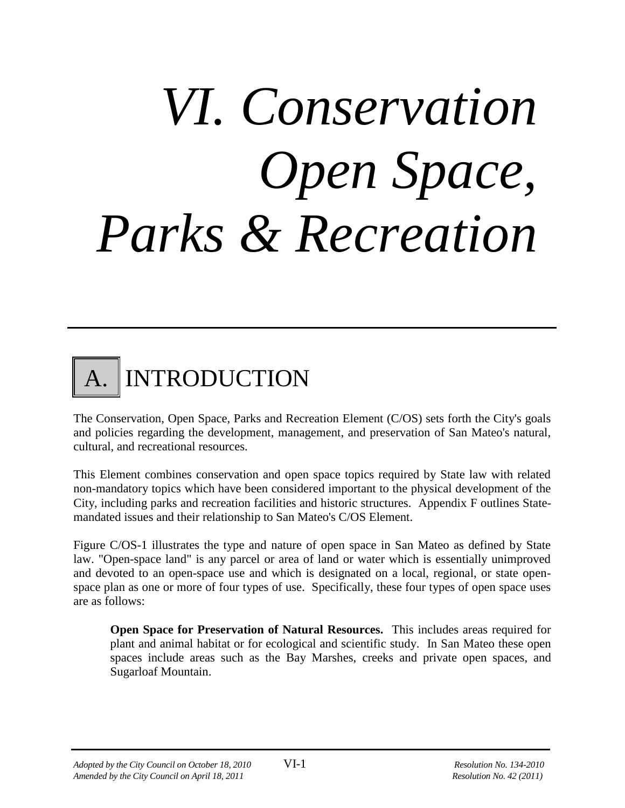# *VI. Conservation Open Space, Parks & Recreation*



The Conservation, Open Space, Parks and Recreation Element (C/OS) sets forth the City's goals and policies regarding the development, management, and preservation of San Mateo's natural, cultural, and recreational resources.

This Element combines conservation and open space topics required by State law with related non-mandatory topics which have been considered important to the physical development of the City, including parks and recreation facilities and historic structures. Appendix F outlines Statemandated issues and their relationship to San Mateo's C/OS Element.

Figure C/OS-1 illustrates the type and nature of open space in San Mateo as defined by State law. "Open-space land" is any parcel or area of land or water which is essentially unimproved and devoted to an open-space use and which is designated on a local, regional, or state openspace plan as one or more of four types of use. Specifically, these four types of open space uses are as follows:

**Open Space for Preservation of Natural Resources.** This includes areas required for plant and animal habitat or for ecological and scientific study. In San Mateo these open spaces include areas such as the Bay Marshes, creeks and private open spaces, and Sugarloaf Mountain.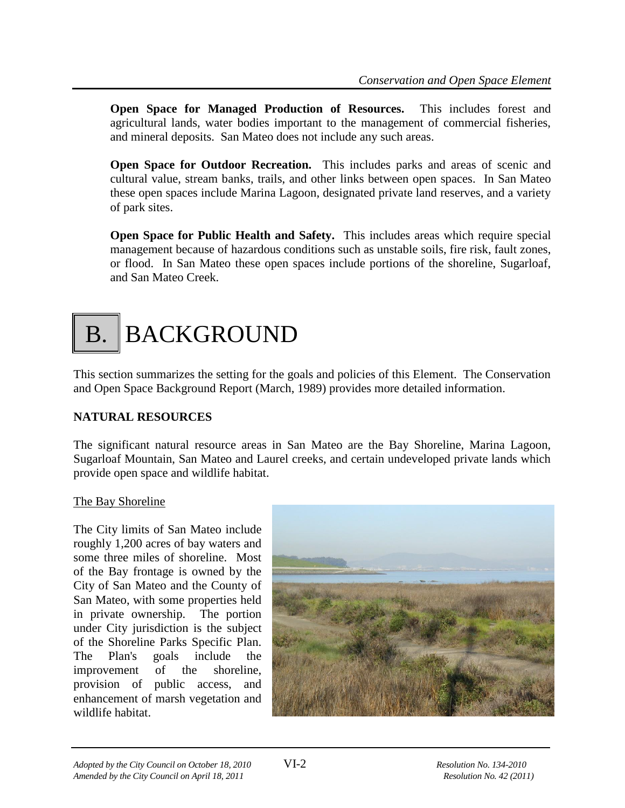**Open Space for Managed Production of Resources.** This includes forest and agricultural lands, water bodies important to the management of commercial fisheries, and mineral deposits. San Mateo does not include any such areas.

**Open Space for Outdoor Recreation.** This includes parks and areas of scenic and cultural value, stream banks, trails, and other links between open spaces. In San Mateo these open spaces include Marina Lagoon, designated private land reserves, and a variety of park sites.

**Open Space for Public Health and Safety.** This includes areas which require special management because of hazardous conditions such as unstable soils, fire risk, fault zones, or flood. In San Mateo these open spaces include portions of the shoreline, Sugarloaf, and San Mateo Creek.

# B. BACKGROUND

This section summarizes the setting for the goals and policies of this Element. The Conservation and Open Space Background Report (March, 1989) provides more detailed information.

# **NATURAL RESOURCES**

The significant natural resource areas in San Mateo are the Bay Shoreline, Marina Lagoon, Sugarloaf Mountain, San Mateo and Laurel creeks, and certain undeveloped private lands which provide open space and wildlife habitat.

# The Bay Shoreline

The City limits of San Mateo include roughly 1,200 acres of bay waters and some three miles of shoreline. Most of the Bay frontage is owned by the City of San Mateo and the County of San Mateo, with some properties held in private ownership. The portion under City jurisdiction is the subject of the Shoreline Parks Specific Plan. The Plan's goals include the improvement of the shoreline, provision of public access, and enhancement of marsh vegetation and wildlife habitat.

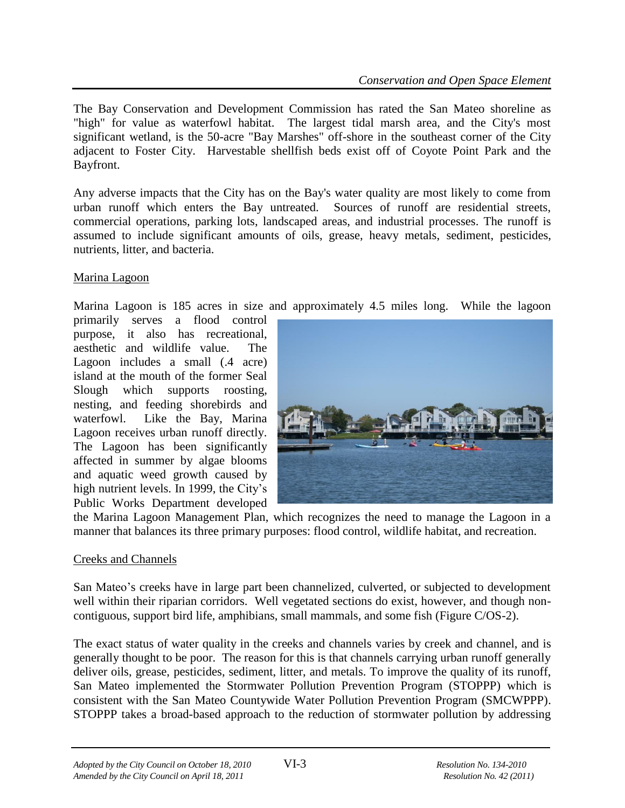The Bay Conservation and Development Commission has rated the San Mateo shoreline as "high" for value as waterfowl habitat. The largest tidal marsh area, and the City's most significant wetland, is the 50-acre "Bay Marshes" off-shore in the southeast corner of the City adjacent to Foster City. Harvestable shellfish beds exist off of Coyote Point Park and the Bayfront.

Any adverse impacts that the City has on the Bay's water quality are most likely to come from urban runoff which enters the Bay untreated. Sources of runoff are residential streets, commercial operations, parking lots, landscaped areas, and industrial processes. The runoff is assumed to include significant amounts of oils, grease, heavy metals, sediment, pesticides, nutrients, litter, and bacteria.

# Marina Lagoon

Marina Lagoon is 185 acres in size and approximately 4.5 miles long. While the lagoon

primarily serves a flood control purpose, it also has recreational, aesthetic and wildlife value. The Lagoon includes a small (.4 acre) island at the mouth of the former Seal Slough which supports roosting, nesting, and feeding shorebirds and waterfowl. Like the Bay, Marina Lagoon receives urban runoff directly. The Lagoon has been significantly affected in summer by algae blooms and aquatic weed growth caused by high nutrient levels. In 1999, the City's Public Works Department developed



the Marina Lagoon Management Plan, which recognizes the need to manage the Lagoon in a manner that balances its three primary purposes: flood control, wildlife habitat, and recreation.

#### Creeks and Channels

San Mateo's creeks have in large part been channelized, culverted, or subjected to development well within their riparian corridors. Well vegetated sections do exist, however, and though noncontiguous, support bird life, amphibians, small mammals, and some fish (Figure C/OS-2).

The exact status of water quality in the creeks and channels varies by creek and channel, and is generally thought to be poor. The reason for this is that channels carrying urban runoff generally deliver oils, grease, pesticides, sediment, litter, and metals. To improve the quality of its runoff, San Mateo implemented the Stormwater Pollution Prevention Program (STOPPP) which is consistent with the San Mateo Countywide Water Pollution Prevention Program (SMCWPPP). STOPPP takes a broad-based approach to the reduction of stormwater pollution by addressing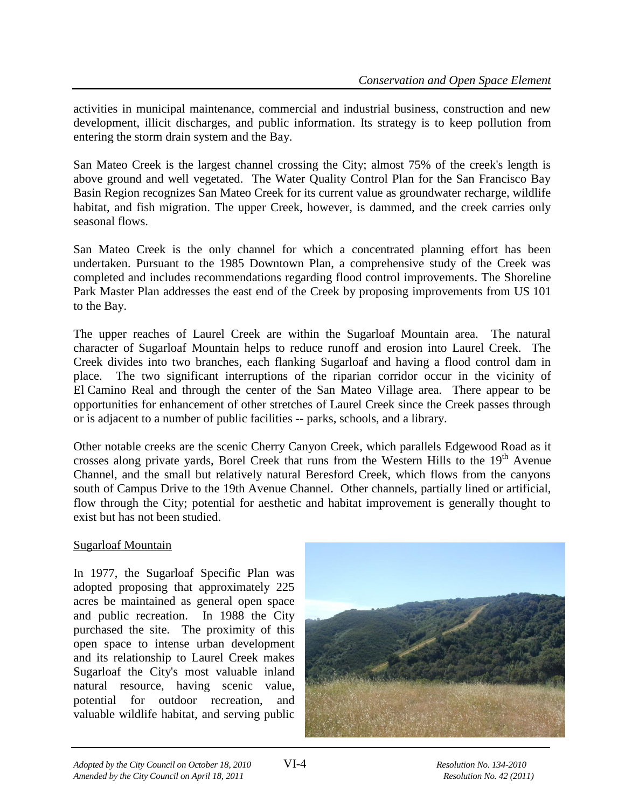activities in municipal maintenance, commercial and industrial business, construction and new development, illicit discharges, and public information. Its strategy is to keep pollution from entering the storm drain system and the Bay.

San Mateo Creek is the largest channel crossing the City; almost 75% of the creek's length is above ground and well vegetated. The Water Quality Control Plan for the San Francisco Bay Basin Region recognizes San Mateo Creek for its current value as groundwater recharge, wildlife habitat, and fish migration. The upper Creek, however, is dammed, and the creek carries only seasonal flows.

San Mateo Creek is the only channel for which a concentrated planning effort has been undertaken. Pursuant to the 1985 Downtown Plan, a comprehensive study of the Creek was completed and includes recommendations regarding flood control improvements. The Shoreline Park Master Plan addresses the east end of the Creek by proposing improvements from US 101 to the Bay.

The upper reaches of Laurel Creek are within the Sugarloaf Mountain area. The natural character of Sugarloaf Mountain helps to reduce runoff and erosion into Laurel Creek. The Creek divides into two branches, each flanking Sugarloaf and having a flood control dam in place. The two significant interruptions of the riparian corridor occur in the vicinity of El Camino Real and through the center of the San Mateo Village area. There appear to be opportunities for enhancement of other stretches of Laurel Creek since the Creek passes through or is adjacent to a number of public facilities -- parks, schools, and a library.

Other notable creeks are the scenic Cherry Canyon Creek, which parallels Edgewood Road as it crosses along private yards, Borel Creek that runs from the Western Hills to the  $19<sup>th</sup>$  Avenue Channel, and the small but relatively natural Beresford Creek, which flows from the canyons south of Campus Drive to the 19th Avenue Channel. Other channels, partially lined or artificial, flow through the City; potential for aesthetic and habitat improvement is generally thought to exist but has not been studied.

# Sugarloaf Mountain

In 1977, the Sugarloaf Specific Plan was adopted proposing that approximately 225 acres be maintained as general open space and public recreation. In 1988 the City purchased the site. The proximity of this open space to intense urban development and its relationship to Laurel Creek makes Sugarloaf the City's most valuable inland natural resource, having scenic value, potential for outdoor recreation, and valuable wildlife habitat, and serving public

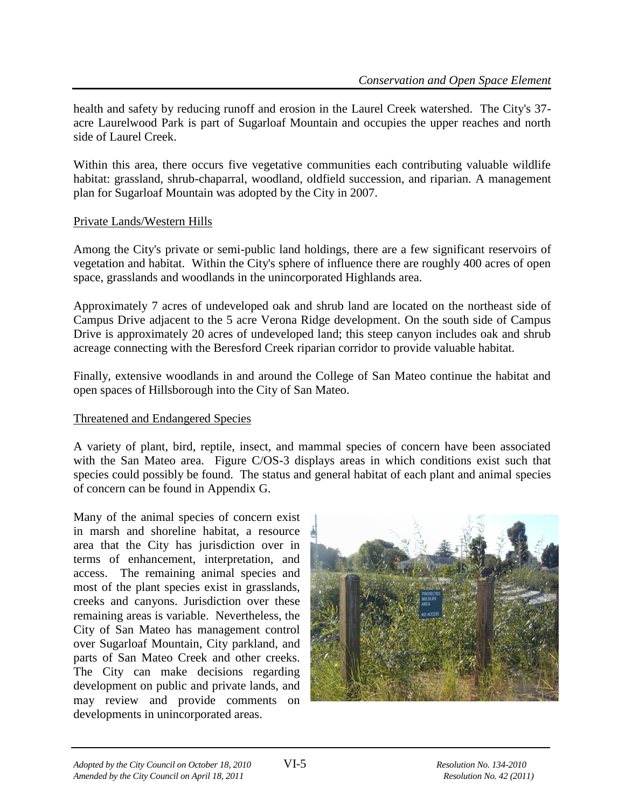health and safety by reducing runoff and erosion in the Laurel Creek watershed. The City's 37 acre Laurelwood Park is part of Sugarloaf Mountain and occupies the upper reaches and north side of Laurel Creek.

Within this area, there occurs five vegetative communities each contributing valuable wildlife habitat: grassland, shrub-chaparral, woodland, oldfield succession, and riparian. A management plan for Sugarloaf Mountain was adopted by the City in 2007.

#### Private Lands/Western Hills

Among the City's private or semi-public land holdings, there are a few significant reservoirs of vegetation and habitat. Within the City's sphere of influence there are roughly 400 acres of open space, grasslands and woodlands in the unincorporated Highlands area.

Approximately 7 acres of undeveloped oak and shrub land are located on the northeast side of Campus Drive adjacent to the 5 acre Verona Ridge development. On the south side of Campus Drive is approximately 20 acres of undeveloped land; this steep canyon includes oak and shrub acreage connecting with the Beresford Creek riparian corridor to provide valuable habitat.

Finally, extensive woodlands in and around the College of San Mateo continue the habitat and open spaces of Hillsborough into the City of San Mateo.

# Threatened and Endangered Species

A variety of plant, bird, reptile, insect, and mammal species of concern have been associated with the San Mateo area. Figure C/OS-3 displays areas in which conditions exist such that species could possibly be found. The status and general habitat of each plant and animal species of concern can be found in Appendix G.

Many of the animal species of concern exist in marsh and shoreline habitat, a resource area that the City has jurisdiction over in terms of enhancement, interpretation, and access. The remaining animal species and most of the plant species exist in grasslands, creeks and canyons. Jurisdiction over these remaining areas is variable. Nevertheless, the City of San Mateo has management control over Sugarloaf Mountain, City parkland, and parts of San Mateo Creek and other creeks. The City can make decisions regarding development on public and private lands, and may review and provide comments on developments in unincorporated areas.

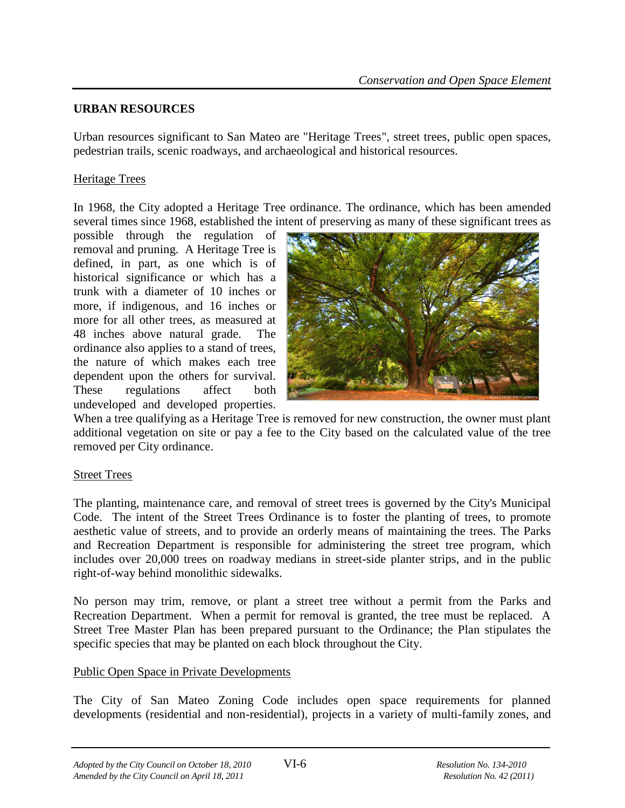#### **URBAN RESOURCES**

Urban resources significant to San Mateo are "Heritage Trees", street trees, public open spaces, pedestrian trails, scenic roadways, and archaeological and historical resources.

## Heritage Trees

In 1968, the City adopted a Heritage Tree ordinance. The ordinance, which has been amended several times since 1968, established the intent of preserving as many of these significant trees as

possible through the regulation of removal and pruning. A Heritage Tree is defined, in part, as one which is of historical significance or which has a trunk with a diameter of 10 inches or more, if indigenous, and 16 inches or more for all other trees, as measured at 48 inches above natural grade. The ordinance also applies to a stand of trees, the nature of which makes each tree dependent upon the others for survival. These regulations affect both undeveloped and developed properties.



When a tree qualifying as a Heritage Tree is removed for new construction, the owner must plant additional vegetation on site or pay a fee to the City based on the calculated value of the tree removed per City ordinance.

#### Street Trees

The planting, maintenance care, and removal of street trees is governed by the City's Municipal Code. The intent of the Street Trees Ordinance is to foster the planting of trees, to promote aesthetic value of streets, and to provide an orderly means of maintaining the trees. The Parks and Recreation Department is responsible for administering the street tree program, which includes over 20,000 trees on roadway medians in street-side planter strips, and in the public right-of-way behind monolithic sidewalks.

No person may trim, remove, or plant a street tree without a permit from the Parks and Recreation Department. When a permit for removal is granted, the tree must be replaced. A Street Tree Master Plan has been prepared pursuant to the Ordinance; the Plan stipulates the specific species that may be planted on each block throughout the City.

#### Public Open Space in Private Developments

The City of San Mateo Zoning Code includes open space requirements for planned developments (residential and non-residential), projects in a variety of multi-family zones, and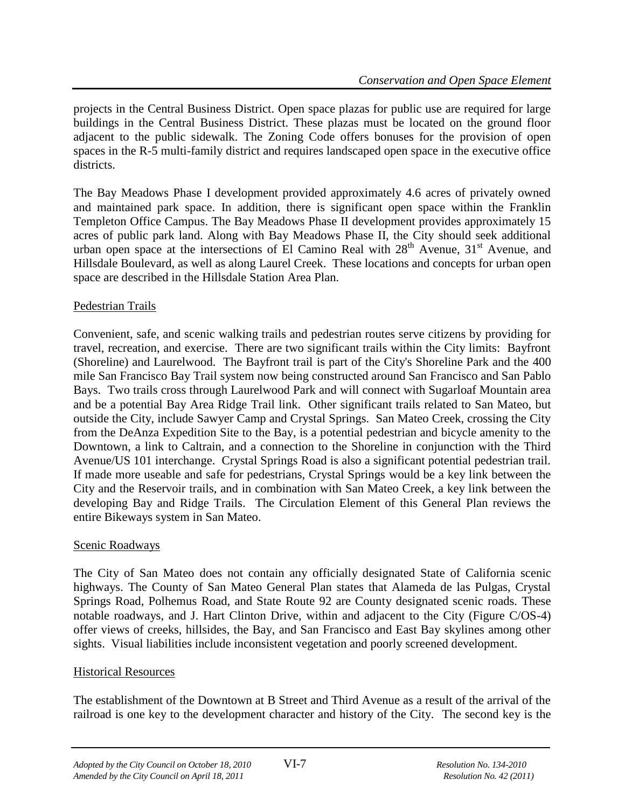projects in the Central Business District. Open space plazas for public use are required for large buildings in the Central Business District. These plazas must be located on the ground floor adjacent to the public sidewalk. The Zoning Code offers bonuses for the provision of open spaces in the R-5 multi-family district and requires landscaped open space in the executive office districts.

The Bay Meadows Phase I development provided approximately 4.6 acres of privately owned and maintained park space. In addition, there is significant open space within the Franklin Templeton Office Campus. The Bay Meadows Phase II development provides approximately 15 acres of public park land. Along with Bay Meadows Phase II, the City should seek additional urban open space at the intersections of El Camino Real with  $28<sup>th</sup>$  Avenue, 31<sup>st</sup> Avenue, and Hillsdale Boulevard, as well as along Laurel Creek. These locations and concepts for urban open space are described in the Hillsdale Station Area Plan.

# Pedestrian Trails

Convenient, safe, and scenic walking trails and pedestrian routes serve citizens by providing for travel, recreation, and exercise. There are two significant trails within the City limits: Bayfront (Shoreline) and Laurelwood. The Bayfront trail is part of the City's Shoreline Park and the 400 mile San Francisco Bay Trail system now being constructed around San Francisco and San Pablo Bays. Two trails cross through Laurelwood Park and will connect with Sugarloaf Mountain area and be a potential Bay Area Ridge Trail link. Other significant trails related to San Mateo, but outside the City, include Sawyer Camp and Crystal Springs. San Mateo Creek, crossing the City from the DeAnza Expedition Site to the Bay, is a potential pedestrian and bicycle amenity to the Downtown, a link to Caltrain, and a connection to the Shoreline in conjunction with the Third Avenue/US 101 interchange. Crystal Springs Road is also a significant potential pedestrian trail. If made more useable and safe for pedestrians, Crystal Springs would be a key link between the City and the Reservoir trails, and in combination with San Mateo Creek, a key link between the developing Bay and Ridge Trails. The Circulation Element of this General Plan reviews the entire Bikeways system in San Mateo.

# Scenic Roadways

The City of San Mateo does not contain any officially designated State of California scenic highways. The County of San Mateo General Plan states that Alameda de las Pulgas, Crystal Springs Road, Polhemus Road, and State Route 92 are County designated scenic roads. These notable roadways, and J. Hart Clinton Drive, within and adjacent to the City (Figure C/OS-4) offer views of creeks, hillsides, the Bay, and San Francisco and East Bay skylines among other sights. Visual liabilities include inconsistent vegetation and poorly screened development.

# Historical Resources

The establishment of the Downtown at B Street and Third Avenue as a result of the arrival of the railroad is one key to the development character and history of the City. The second key is the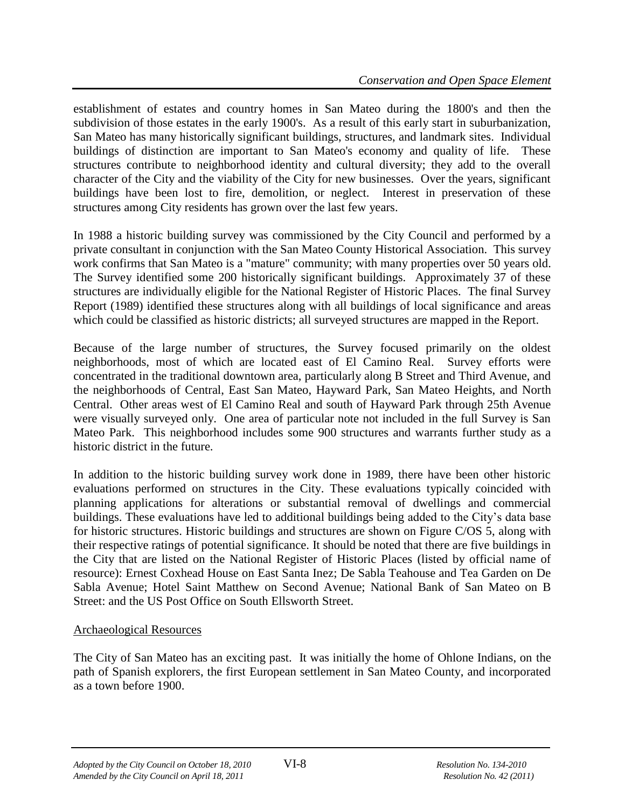establishment of estates and country homes in San Mateo during the 1800's and then the subdivision of those estates in the early 1900's. As a result of this early start in suburbanization, San Mateo has many historically significant buildings, structures, and landmark sites. Individual buildings of distinction are important to San Mateo's economy and quality of life. These structures contribute to neighborhood identity and cultural diversity; they add to the overall character of the City and the viability of the City for new businesses. Over the years, significant buildings have been lost to fire, demolition, or neglect. Interest in preservation of these structures among City residents has grown over the last few years.

In 1988 a historic building survey was commissioned by the City Council and performed by a private consultant in conjunction with the San Mateo County Historical Association. This survey work confirms that San Mateo is a "mature" community; with many properties over 50 years old. The Survey identified some 200 historically significant buildings. Approximately 37 of these structures are individually eligible for the National Register of Historic Places. The final Survey Report (1989) identified these structures along with all buildings of local significance and areas which could be classified as historic districts; all surveyed structures are mapped in the Report.

Because of the large number of structures, the Survey focused primarily on the oldest neighborhoods, most of which are located east of El Camino Real. Survey efforts were concentrated in the traditional downtown area, particularly along B Street and Third Avenue, and the neighborhoods of Central, East San Mateo, Hayward Park, San Mateo Heights, and North Central. Other areas west of El Camino Real and south of Hayward Park through 25th Avenue were visually surveyed only. One area of particular note not included in the full Survey is San Mateo Park. This neighborhood includes some 900 structures and warrants further study as a historic district in the future.

In addition to the historic building survey work done in 1989, there have been other historic evaluations performed on structures in the City. These evaluations typically coincided with planning applications for alterations or substantial removal of dwellings and commercial buildings. These evaluations have led to additional buildings being added to the City's data base for historic structures. Historic buildings and structures are shown on Figure C/OS 5, along with their respective ratings of potential significance. It should be noted that there are five buildings in the City that are listed on the National Register of Historic Places (listed by official name of resource): Ernest Coxhead House on East Santa Inez; De Sabla Teahouse and Tea Garden on De Sabla Avenue; Hotel Saint Matthew on Second Avenue; National Bank of San Mateo on B Street: and the US Post Office on South Ellsworth Street.

# Archaeological Resources

The City of San Mateo has an exciting past. It was initially the home of Ohlone Indians, on the path of Spanish explorers, the first European settlement in San Mateo County, and incorporated as a town before 1900.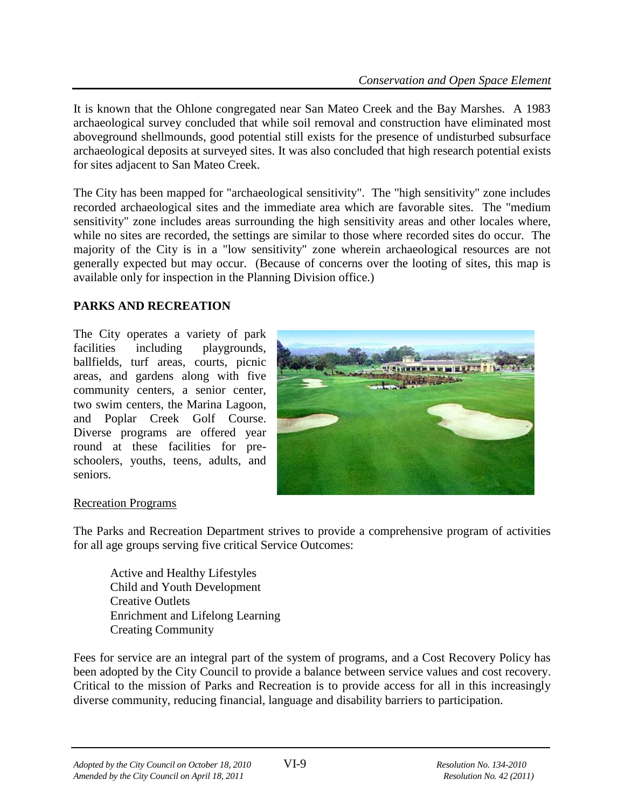It is known that the Ohlone congregated near San Mateo Creek and the Bay Marshes. A 1983 archaeological survey concluded that while soil removal and construction have eliminated most aboveground shellmounds, good potential still exists for the presence of undisturbed subsurface archaeological deposits at surveyed sites. It was also concluded that high research potential exists for sites adjacent to San Mateo Creek.

The City has been mapped for "archaeological sensitivity". The "high sensitivity" zone includes recorded archaeological sites and the immediate area which are favorable sites. The "medium sensitivity" zone includes areas surrounding the high sensitivity areas and other locales where, while no sites are recorded, the settings are similar to those where recorded sites do occur. The majority of the City is in a "low sensitivity" zone wherein archaeological resources are not generally expected but may occur. (Because of concerns over the looting of sites, this map is available only for inspection in the Planning Division office.)

# **PARKS AND RECREATION**

The City operates a variety of park facilities including playgrounds, ballfields, turf areas, courts, picnic areas, and gardens along with five community centers, a senior center, two swim centers, the Marina Lagoon, and Poplar Creek Golf Course. Diverse programs are offered year round at these facilities for preschoolers, youths, teens, adults, and seniors.



# Recreation Programs

The Parks and Recreation Department strives to provide a comprehensive program of activities for all age groups serving five critical Service Outcomes:

Active and Healthy Lifestyles Child and Youth Development Creative Outlets Enrichment and Lifelong Learning Creating Community

Fees for service are an integral part of the system of programs, and a Cost Recovery Policy has been adopted by the City Council to provide a balance between service values and cost recovery. Critical to the mission of Parks and Recreation is to provide access for all in this increasingly diverse community, reducing financial, language and disability barriers to participation.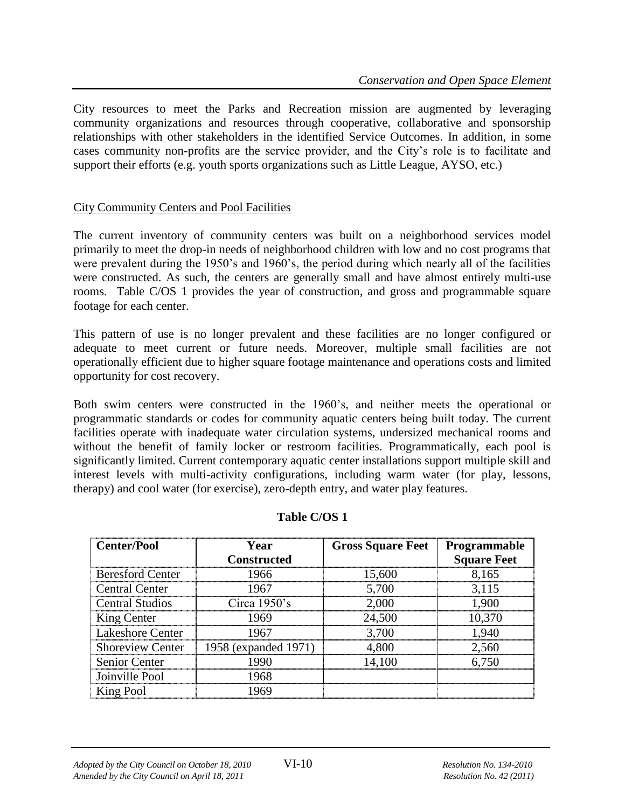City resources to meet the Parks and Recreation mission are augmented by leveraging community organizations and resources through cooperative, collaborative and sponsorship relationships with other stakeholders in the identified Service Outcomes. In addition, in some cases community non-profits are the service provider, and the City's role is to facilitate and support their efforts (e.g. youth sports organizations such as Little League, AYSO, etc.)

#### City Community Centers and Pool Facilities

The current inventory of community centers was built on a neighborhood services model primarily to meet the drop-in needs of neighborhood children with low and no cost programs that were prevalent during the 1950's and 1960's, the period during which nearly all of the facilities were constructed. As such, the centers are generally small and have almost entirely multi-use rooms. Table C/OS 1 provides the year of construction, and gross and programmable square footage for each center.

This pattern of use is no longer prevalent and these facilities are no longer configured or adequate to meet current or future needs. Moreover, multiple small facilities are not operationally efficient due to higher square footage maintenance and operations costs and limited opportunity for cost recovery.

Both swim centers were constructed in the 1960's, and neither meets the operational or programmatic standards or codes for community aquatic centers being built today. The current facilities operate with inadequate water circulation systems, undersized mechanical rooms and without the benefit of family locker or restroom facilities. Programmatically, each pool is significantly limited. Current contemporary aquatic center installations support multiple skill and interest levels with multi-activity configurations, including warm water (for play, lessons, therapy) and cool water (for exercise), zero-depth entry, and water play features.

| <b>Center/Pool</b>      | Year                                    | <b>Gross Square Feet   Programmable</b> |                    |
|-------------------------|-----------------------------------------|-----------------------------------------|--------------------|
|                         | <b>Constructed</b>                      |                                         | <b>Square Feet</b> |
| <b>Beresford Center</b> | 1966                                    | 15,600                                  | 8,165              |
| <b>Central Center</b>   | 1967                                    | 5,700                                   | 3.115              |
| <b>Central Studios</b>  | Circa $1950$ 's                         | 2,000                                   | 1900               |
| King Center             | 1969                                    | 24,500                                  | 10.370             |
| <b>Lakeshore Center</b> | 1967                                    | 3,700                                   | 1.940              |
|                         | Shoreview Center   1958 (expanded 1971) | 4.800                                   | 2.560              |
| <b>Senior Center</b>    |                                         | 14,100                                  | 6.750              |
| Joinville Pool          | 1968                                    |                                         |                    |
| King Pool               |                                         |                                         |                    |

#### **Table C/OS 1**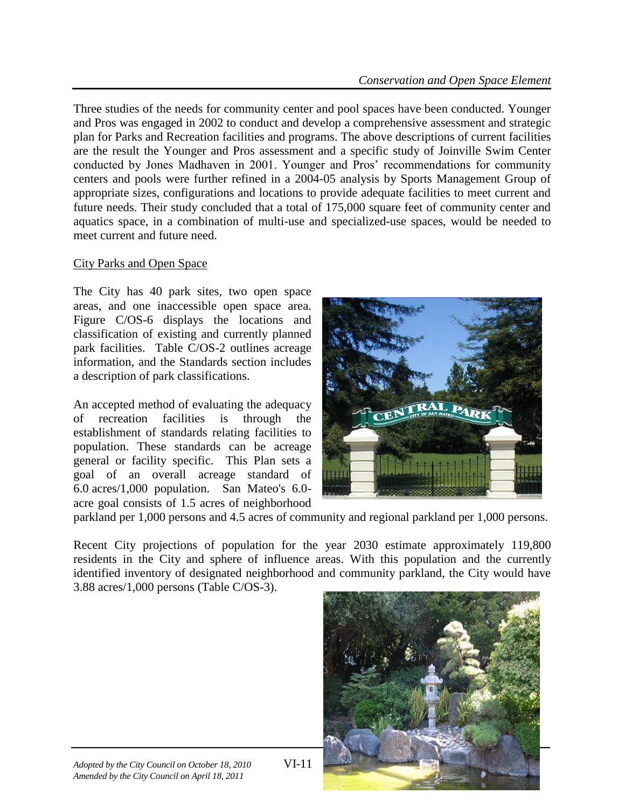Three studies of the needs for community center and pool spaces have been conducted. Younger and Pros was engaged in 2002 to conduct and develop a comprehensive assessment and strategic plan for Parks and Recreation facilities and programs. The above descriptions of current facilities are the result the Younger and Pros assessment and a specific study of Joinville Swim Center conducted by Jones Madhaven in 2001. Younger and Pros' recommendations for community centers and pools were further refined in a 2004-05 analysis by Sports Management Group of appropriate sizes, configurations and locations to provide adequate facilities to meet current and future needs. Their study concluded that a total of 175,000 square feet of community center and aquatics space, in a combination of multi-use and specialized-use spaces, would be needed to meet current and future need.

#### City Parks and Open Space

The City has 40 park sites, two open space areas, and one inaccessible open space area. Figure C/OS-6 displays the locations and classification of existing and currently planned park facilities. Table C/OS-2 outlines acreage information, and the Standards section includes a description of park classifications.

An accepted method of evaluating the adequacy of recreation facilities is through the establishment of standards relating facilities to population. These standards can be acreage general or facility specific. This Plan sets a goal of an overall acreage standard of 6.0 acres/1,000 population. San Mateo's 6.0 acre goal consists of 1.5 acres of neighborhood



parkland per 1,000 persons and 4.5 acres of community and regional parkland per 1,000 persons.

Recent City projections of population for the year 2030 estimate approximately 119,800 residents in the City and sphere of influence areas. With this population and the currently identified inventory of designated neighborhood and community parkland, the City would have 3.88 acres/1,000 persons (Table C/OS-3).

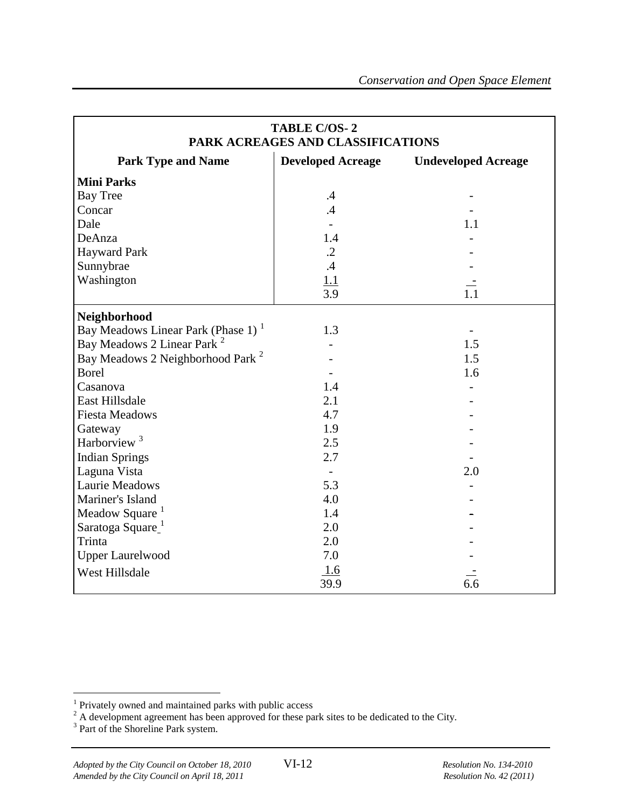| <b>TABLE C/OS-2</b><br>PARK ACREAGES AND CLASSIFICATIONS |                          |                            |  |
|----------------------------------------------------------|--------------------------|----------------------------|--|
| <b>Park Type and Name</b>                                | <b>Developed Acreage</b> | <b>Undeveloped Acreage</b> |  |
| <b>Mini Parks</b>                                        |                          |                            |  |
| <b>Bay Tree</b>                                          | $\cdot$                  |                            |  |
| Concar                                                   | .4                       |                            |  |
| Dale                                                     |                          | 1.1                        |  |
| DeAnza                                                   | 1.4                      |                            |  |
| <b>Hayward Park</b>                                      | $\cdot$ .2               |                            |  |
| Sunnybrae                                                | .4                       |                            |  |
| Washington                                               | 1.1                      |                            |  |
|                                                          | 3.9                      | 1.1                        |  |
| Neighborhood                                             |                          |                            |  |
| Bay Meadows Linear Park (Phase 1) <sup>1</sup>           | 1.3                      |                            |  |
| Bay Meadows 2 Linear Park <sup>2</sup>                   |                          | 1.5                        |  |
| Bay Meadows 2 Neighborhood Park <sup>2</sup>             |                          | 1.5                        |  |
| <b>Borel</b>                                             |                          | 1.6                        |  |
| Casanova                                                 | 1.4                      |                            |  |
| <b>East Hillsdale</b>                                    | 2.1                      |                            |  |
| <b>Fiesta Meadows</b>                                    | 4.7                      |                            |  |
| Gateway                                                  | 1.9                      |                            |  |
| Harborview <sup>3</sup>                                  | 2.5                      |                            |  |
| <b>Indian Springs</b>                                    | 2.7                      |                            |  |
| Laguna Vista                                             | $\overline{\phantom{a}}$ | 2.0                        |  |
| <b>Laurie Meadows</b>                                    | 5.3                      |                            |  |
| Mariner's Island                                         | 4.0                      |                            |  |
| Meadow Square <sup>1</sup>                               | 1.4                      |                            |  |
| Saratoga Square                                          | 2.0                      |                            |  |
| Trinta                                                   | 2.0                      |                            |  |
| <b>Upper Laurelwood</b>                                  | 7.0                      |                            |  |
| West Hillsdale                                           | 1.6                      |                            |  |
|                                                          | 39.9                     | 6.6                        |  |

 1 Privately owned and maintained parks with public access

 $^{2}$  A development agreement has been approved for these park sites to be dedicated to the City.<br><sup>3</sup> Part of the Shoreline Park system.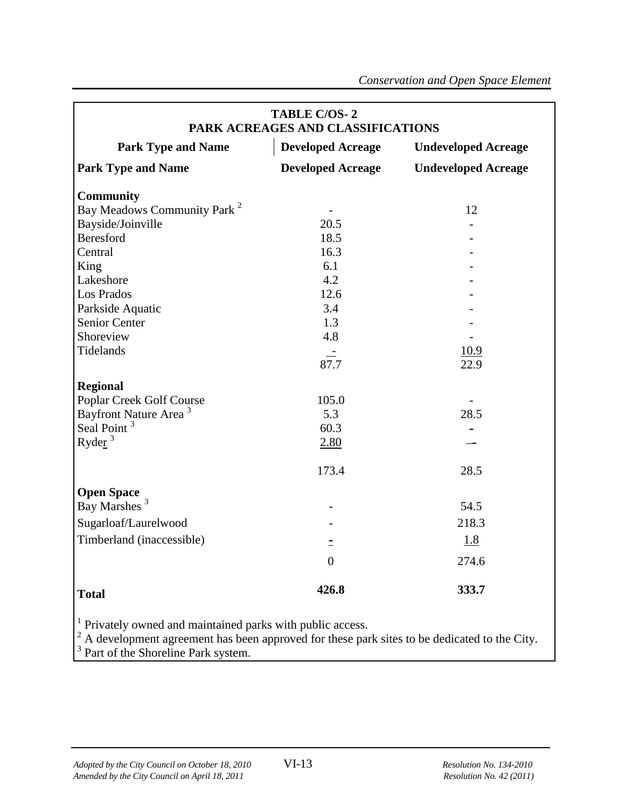| <b>TABLE C/OS-2</b><br>PARK ACREAGES AND CLASSIFICATIONS                                                                                                             |                          |                            |  |
|----------------------------------------------------------------------------------------------------------------------------------------------------------------------|--------------------------|----------------------------|--|
| <b>Park Type and Name</b>                                                                                                                                            | <b>Developed Acreage</b> | <b>Undeveloped Acreage</b> |  |
| <b>Park Type and Name</b>                                                                                                                                            | <b>Developed Acreage</b> | <b>Undeveloped Acreage</b> |  |
| <b>Community</b>                                                                                                                                                     |                          |                            |  |
| Bay Meadows Community Park <sup>2</sup>                                                                                                                              |                          | 12                         |  |
| Bayside/Joinville                                                                                                                                                    | 20.5                     |                            |  |
| Beresford                                                                                                                                                            | 18.5                     |                            |  |
| Central                                                                                                                                                              | 16.3                     |                            |  |
| King                                                                                                                                                                 | 6.1                      |                            |  |
| Lakeshore                                                                                                                                                            | 4.2                      |                            |  |
| Los Prados                                                                                                                                                           | 12.6                     |                            |  |
| Parkside Aquatic                                                                                                                                                     | 3.4                      |                            |  |
| Senior Center                                                                                                                                                        | 1.3                      |                            |  |
| Shoreview                                                                                                                                                            | 4.8                      |                            |  |
| Tidelands                                                                                                                                                            | $\equiv$                 | <u>10.9</u>                |  |
|                                                                                                                                                                      | 87.7                     | 22.9                       |  |
| <b>Regional</b>                                                                                                                                                      |                          |                            |  |
| Poplar Creek Golf Course                                                                                                                                             | 105.0                    |                            |  |
| Bayfront Nature Area <sup>3</sup>                                                                                                                                    | 5.3                      | 28.5                       |  |
| Seal Point <sup>3</sup>                                                                                                                                              | 60.3                     |                            |  |
| Ryder $3$                                                                                                                                                            | 2.80                     |                            |  |
|                                                                                                                                                                      |                          |                            |  |
|                                                                                                                                                                      | 173.4                    | 28.5                       |  |
| <b>Open Space</b>                                                                                                                                                    |                          |                            |  |
| Bay Marshes <sup>3</sup>                                                                                                                                             |                          | 54.5                       |  |
|                                                                                                                                                                      |                          | 218.3                      |  |
| Sugarloaf/Laurelwood                                                                                                                                                 |                          |                            |  |
| Timberland (inaccessible)                                                                                                                                            |                          | <u>1.8</u>                 |  |
|                                                                                                                                                                      | $\theta$                 | 274.6                      |  |
| <b>Total</b>                                                                                                                                                         | 426.8                    | 333.7                      |  |
| <sup>1</sup> Privately owned and maintained parks with public access.<br>A development agreement has been approved for these park sites to be dedicated to the City. |                          |                            |  |

3 Part of the Shoreline Park system.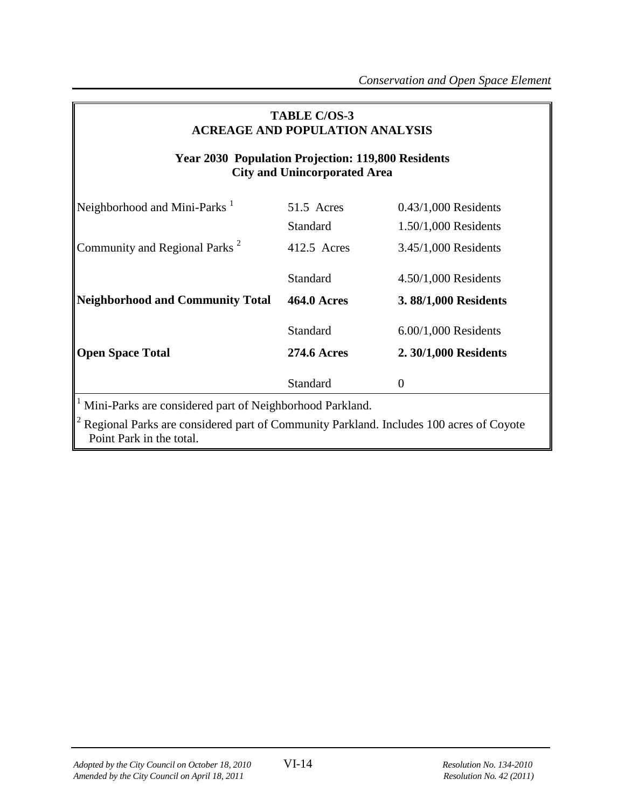| <b>TABLE C/OS-3</b><br><b>ACREAGE AND POPULATION ANALYSIS</b>                                    |                    |                        |  |  |
|--------------------------------------------------------------------------------------------------|--------------------|------------------------|--|--|
| <b>Year 2030 Population Projection: 119,800 Residents</b><br><b>City and Unincorporated Area</b> |                    |                        |  |  |
| Neighborhood and Mini-Parks <sup>1</sup>                                                         | 51.5 Acres         | $0.43/1,000$ Residents |  |  |
|                                                                                                  | Standard           | 1.50/1,000 Residents   |  |  |
| Community and Regional Parks <sup>2</sup>                                                        | 412.5 Acres        | $3.45/1,000$ Residents |  |  |
|                                                                                                  | Standard           | $4.50/1,000$ Residents |  |  |
| <b>Neighborhood and Community Total</b>                                                          | <b>464.0 Acres</b> | 3.88/1,000 Residents   |  |  |
|                                                                                                  | Standard           | $6.00/1,000$ Residents |  |  |
| <b>Open Space Total</b>                                                                          | <b>274.6 Acres</b> | 2.30/1,000 Residents   |  |  |
|                                                                                                  | Standard           | $\theta$               |  |  |
| <sup>1</sup> Mini-Parks are considered part of Neighborhood Parkland.                            |                    |                        |  |  |

 $2$  Regional Parks are considered part of Community Parkland. Includes 100 acres of Coyote Point Park in the total.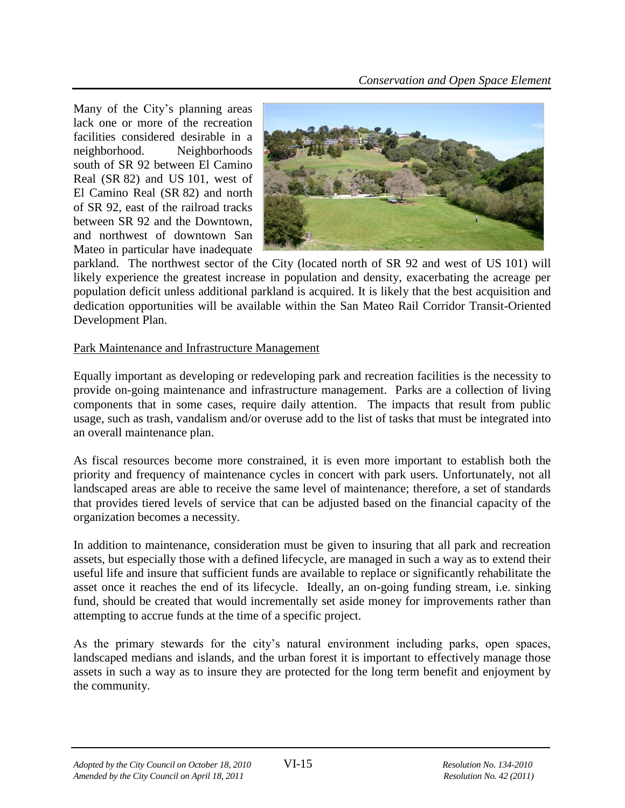Many of the City's planning areas lack one or more of the recreation facilities considered desirable in a neighborhood. Neighborhoods south of SR 92 between El Camino Real (SR 82) and US 101, west of El Camino Real (SR 82) and north of SR 92, east of the railroad tracks between SR 92 and the Downtown, and northwest of downtown San Mateo in particular have inadequate



parkland. The northwest sector of the City (located north of SR 92 and west of US 101) will likely experience the greatest increase in population and density, exacerbating the acreage per population deficit unless additional parkland is acquired. It is likely that the best acquisition and dedication opportunities will be available within the San Mateo Rail Corridor Transit-Oriented Development Plan.

# Park Maintenance and Infrastructure Management

Equally important as developing or redeveloping park and recreation facilities is the necessity to provide on-going maintenance and infrastructure management. Parks are a collection of living components that in some cases, require daily attention. The impacts that result from public usage, such as trash, vandalism and/or overuse add to the list of tasks that must be integrated into an overall maintenance plan.

As fiscal resources become more constrained, it is even more important to establish both the priority and frequency of maintenance cycles in concert with park users. Unfortunately, not all landscaped areas are able to receive the same level of maintenance; therefore, a set of standards that provides tiered levels of service that can be adjusted based on the financial capacity of the organization becomes a necessity.

In addition to maintenance, consideration must be given to insuring that all park and recreation assets, but especially those with a defined lifecycle, are managed in such a way as to extend their useful life and insure that sufficient funds are available to replace or significantly rehabilitate the asset once it reaches the end of its lifecycle. Ideally, an on-going funding stream, i.e. sinking fund, should be created that would incrementally set aside money for improvements rather than attempting to accrue funds at the time of a specific project.

As the primary stewards for the city's natural environment including parks, open spaces, landscaped medians and islands, and the urban forest it is important to effectively manage those assets in such a way as to insure they are protected for the long term benefit and enjoyment by the community.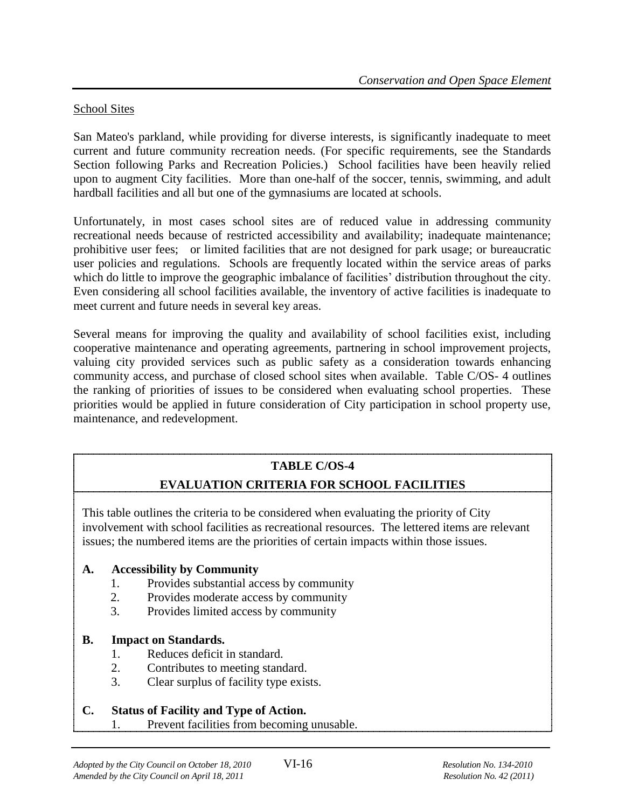#### School Sites

San Mateo's parkland, while providing for diverse interests, is significantly inadequate to meet current and future community recreation needs. (For specific requirements, see the Standards Section following Parks and Recreation Policies.) School facilities have been heavily relied upon to augment City facilities. More than one-half of the soccer, tennis, swimming, and adult hardball facilities and all but one of the gymnasiums are located at schools.

Unfortunately, in most cases school sites are of reduced value in addressing community recreational needs because of restricted accessibility and availability; inadequate maintenance; prohibitive user fees; or limited facilities that are not designed for park usage; or bureaucratic user policies and regulations. Schools are frequently located within the service areas of parks which do little to improve the geographic imbalance of facilities' distribution throughout the city. Even considering all school facilities available, the inventory of active facilities is inadequate to meet current and future needs in several key areas.

Several means for improving the quality and availability of school facilities exist, including cooperative maintenance and operating agreements, partnering in school improvement projects, valuing city provided services such as public safety as a consideration towards enhancing community access, and purchase of closed school sites when available. Table C/OS- 4 outlines the ranking of priorities of issues to be considered when evaluating school properties. These priorities would be applied in future consideration of City participation in school property use, maintenance, and redevelopment.

# **TABLE C/OS-4**

# **EVALUATION CRITERIA FOR SCHOOL FACILITIES**

This table outlines the criteria to be considered when evaluating the priority of City involvement with school facilities as recreational resources. The lettered items are relevant issues; the numbered items are the priorities of certain impacts within those issues.

#### **A. Accessibility by Community**

- 1. Provides substantial access by community
- 2. Provides moderate access by community
- 3. Provides limited access by community

#### **B. Impact on Standards.**

- 1. Reduces deficit in standard.
- 2. Contributes to meeting standard.
- 3. Clear surplus of facility type exists.

#### **C. Status of Facility and Type of Action.**

1. Prevent facilities from becoming unusable.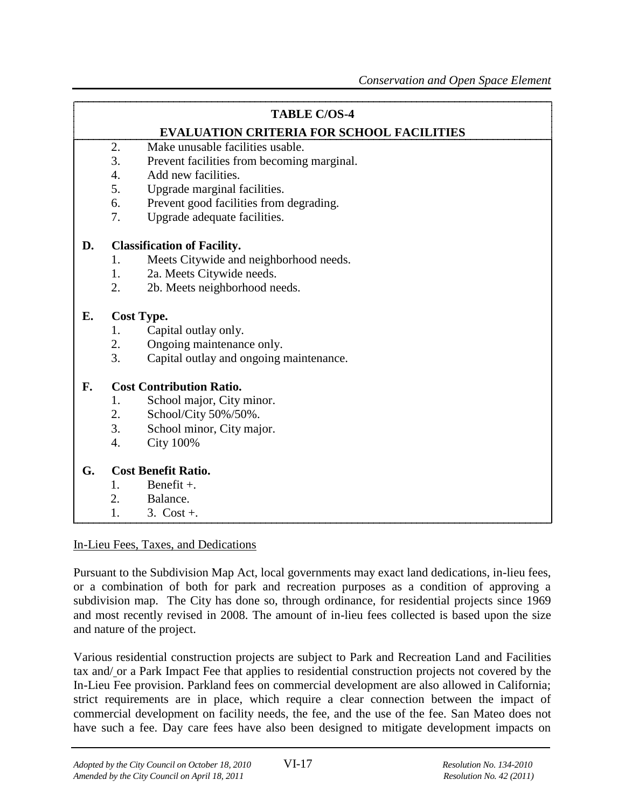#### **TABLE C/OS-4**

# **EVALUATION CRITERIA FOR SCHOOL FACILITIES**

- 2. Make unusable facilities usable.
- 3. Prevent facilities from becoming marginal.
- 4. Add new facilities.
- 5. Upgrade marginal facilities.
- 6. Prevent good facilities from degrading.
- 7. Upgrade adequate facilities.

#### **D. Classification of Facility.**

- 1. Meets Citywide and neighborhood needs.
- 1. 2a. Meets Citywide needs.
- 2. 2b. Meets neighborhood needs.

#### **E. Cost Type.**

- 1. Capital outlay only.
- 2. Ongoing maintenance only.
- 3. Capital outlay and ongoing maintenance.

#### **F. Cost Contribution Ratio.**

- 1. School major, City minor.
- 2. School/City 50%/50%.
- 3. School minor, City major.
- 4. City 100%

#### **G. Cost Benefit Ratio.**

- 1. Benefit  $+$ .
- 2. Balance.
- 1.  $3. \text{Cost} + .$

#### In-Lieu Fees, Taxes, and Dedications

Pursuant to the Subdivision Map Act, local governments may exact land dedications, in-lieu fees, or a combination of both for park and recreation purposes as a condition of approving a subdivision map. The City has done so, through ordinance, for residential projects since 1969 and most recently revised in 2008. The amount of in-lieu fees collected is based upon the size and nature of the project.

Various residential construction projects are subject to Park and Recreation Land and Facilities tax and/ or a Park Impact Fee that applies to residential construction projects not covered by the In-Lieu Fee provision. Parkland fees on commercial development are also allowed in California; strict requirements are in place, which require a clear connection between the impact of commercial development on facility needs, the fee, and the use of the fee. San Mateo does not have such a fee. Day care fees have also been designed to mitigate development impacts on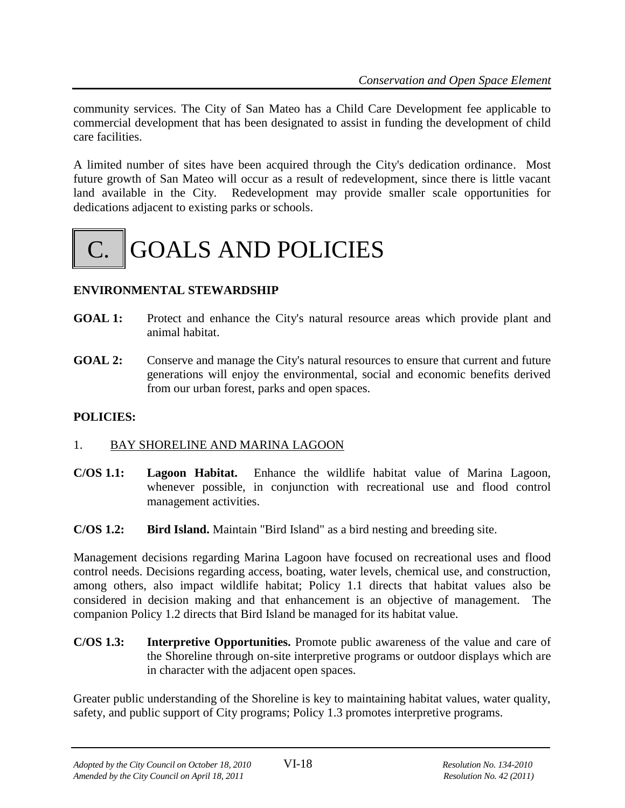community services. The City of San Mateo has a Child Care Development fee applicable to commercial development that has been designated to assist in funding the development of child care facilities.

A limited number of sites have been acquired through the City's dedication ordinance. Most future growth of San Mateo will occur as a result of redevelopment, since there is little vacant land available in the City. Redevelopment may provide smaller scale opportunities for dedications adjacent to existing parks or schools.



# **ENVIRONMENTAL STEWARDSHIP**

- **GOAL 1:** Protect and enhance the City's natural resource areas which provide plant and animal habitat.
- **GOAL 2:** Conserve and manage the City's natural resources to ensure that current and future generations will enjoy the environmental, social and economic benefits derived from our urban forest, parks and open spaces.

#### **POLICIES:**

#### 1. BAY SHORELINE AND MARINA LAGOON

- **C/OS 1.1: Lagoon Habitat.** Enhance the wildlife habitat value of Marina Lagoon, whenever possible, in conjunction with recreational use and flood control management activities.
- **C/OS 1.2: Bird Island.** Maintain "Bird Island" as a bird nesting and breeding site.

Management decisions regarding Marina Lagoon have focused on recreational uses and flood control needs. Decisions regarding access, boating, water levels, chemical use, and construction, among others, also impact wildlife habitat; Policy 1.1 directs that habitat values also be considered in decision making and that enhancement is an objective of management. The companion Policy 1.2 directs that Bird Island be managed for its habitat value.

**C/OS 1.3: Interpretive Opportunities.** Promote public awareness of the value and care of the Shoreline through on-site interpretive programs or outdoor displays which are in character with the adjacent open spaces.

Greater public understanding of the Shoreline is key to maintaining habitat values, water quality, safety, and public support of City programs; Policy 1.3 promotes interpretive programs.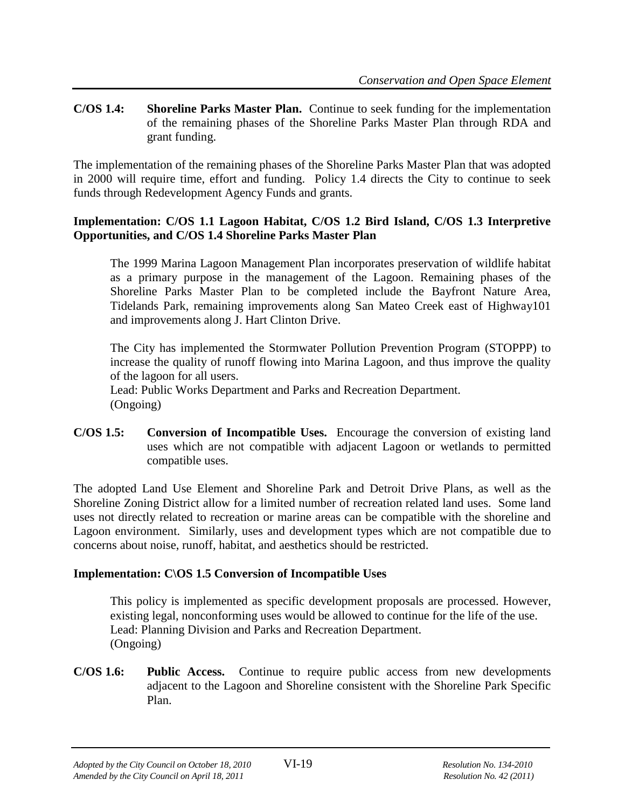**C/OS 1.4: Shoreline Parks Master Plan.** Continue to seek funding for the implementation of the remaining phases of the Shoreline Parks Master Plan through RDA and grant funding.

The implementation of the remaining phases of the Shoreline Parks Master Plan that was adopted in 2000 will require time, effort and funding. Policy 1.4 directs the City to continue to seek funds through Redevelopment Agency Funds and grants.

#### **Implementation: C/OS 1.1 Lagoon Habitat, C/OS 1.2 Bird Island, C/OS 1.3 Interpretive Opportunities, and C/OS 1.4 Shoreline Parks Master Plan**

The 1999 Marina Lagoon Management Plan incorporates preservation of wildlife habitat as a primary purpose in the management of the Lagoon. Remaining phases of the Shoreline Parks Master Plan to be completed include the Bayfront Nature Area, Tidelands Park, remaining improvements along San Mateo Creek east of Highway101 and improvements along J. Hart Clinton Drive.

The City has implemented the Stormwater Pollution Prevention Program (STOPPP) to increase the quality of runoff flowing into Marina Lagoon, and thus improve the quality of the lagoon for all users. Lead: Public Works Department and Parks and Recreation Department.

(Ongoing)

**C/OS 1.5: Conversion of Incompatible Uses.** Encourage the conversion of existing land uses which are not compatible with adjacent Lagoon or wetlands to permitted compatible uses.

The adopted Land Use Element and Shoreline Park and Detroit Drive Plans, as well as the Shoreline Zoning District allow for a limited number of recreation related land uses. Some land uses not directly related to recreation or marine areas can be compatible with the shoreline and Lagoon environment. Similarly, uses and development types which are not compatible due to concerns about noise, runoff, habitat, and aesthetics should be restricted.

# **Implementation: C\OS 1.5 Conversion of Incompatible Uses**

This policy is implemented as specific development proposals are processed. However, existing legal, nonconforming uses would be allowed to continue for the life of the use. Lead: Planning Division and Parks and Recreation Department. (Ongoing)

**C/OS 1.6: Public Access.** Continue to require public access from new developments adjacent to the Lagoon and Shoreline consistent with the Shoreline Park Specific Plan.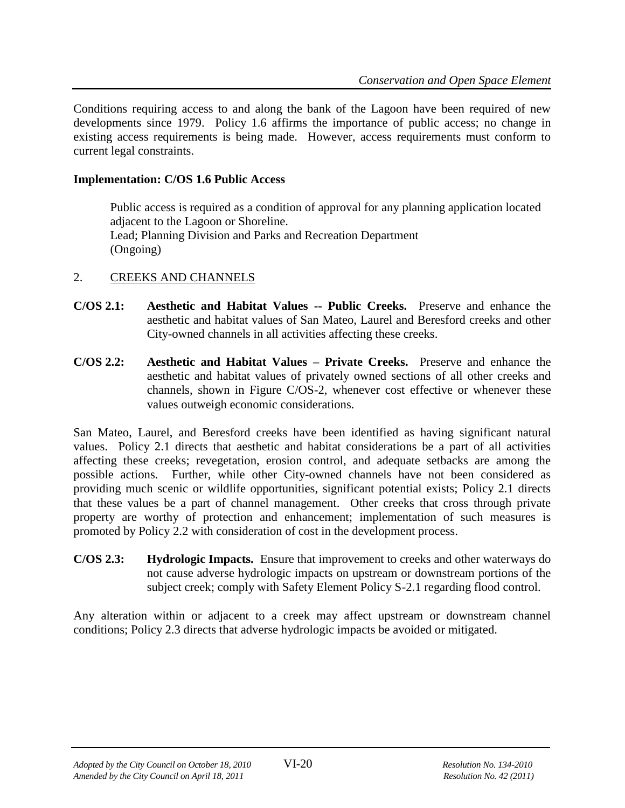Conditions requiring access to and along the bank of the Lagoon have been required of new developments since 1979. Policy 1.6 affirms the importance of public access; no change in existing access requirements is being made. However, access requirements must conform to current legal constraints.

#### **Implementation: C/OS 1.6 Public Access**

Public access is required as a condition of approval for any planning application located adjacent to the Lagoon or Shoreline. Lead; Planning Division and Parks and Recreation Department (Ongoing)

# 2. CREEKS AND CHANNELS

- **C/OS 2.1: Aesthetic and Habitat Values -- Public Creeks.** Preserve and enhance the aesthetic and habitat values of San Mateo, Laurel and Beresford creeks and other City-owned channels in all activities affecting these creeks.
- **C/OS 2.2: Aesthetic and Habitat Values – Private Creeks.** Preserve and enhance the aesthetic and habitat values of privately owned sections of all other creeks and channels, shown in Figure C/OS-2, whenever cost effective or whenever these values outweigh economic considerations.

San Mateo, Laurel, and Beresford creeks have been identified as having significant natural values. Policy 2.1 directs that aesthetic and habitat considerations be a part of all activities affecting these creeks; revegetation, erosion control, and adequate setbacks are among the possible actions. Further, while other City-owned channels have not been considered as providing much scenic or wildlife opportunities, significant potential exists; Policy 2.1 directs that these values be a part of channel management. Other creeks that cross through private property are worthy of protection and enhancement; implementation of such measures is promoted by Policy 2.2 with consideration of cost in the development process.

**C/OS 2.3: Hydrologic Impacts.** Ensure that improvement to creeks and other waterways do not cause adverse hydrologic impacts on upstream or downstream portions of the subject creek; comply with Safety Element Policy S-2.1 regarding flood control.

Any alteration within or adjacent to a creek may affect upstream or downstream channel conditions; Policy 2.3 directs that adverse hydrologic impacts be avoided or mitigated.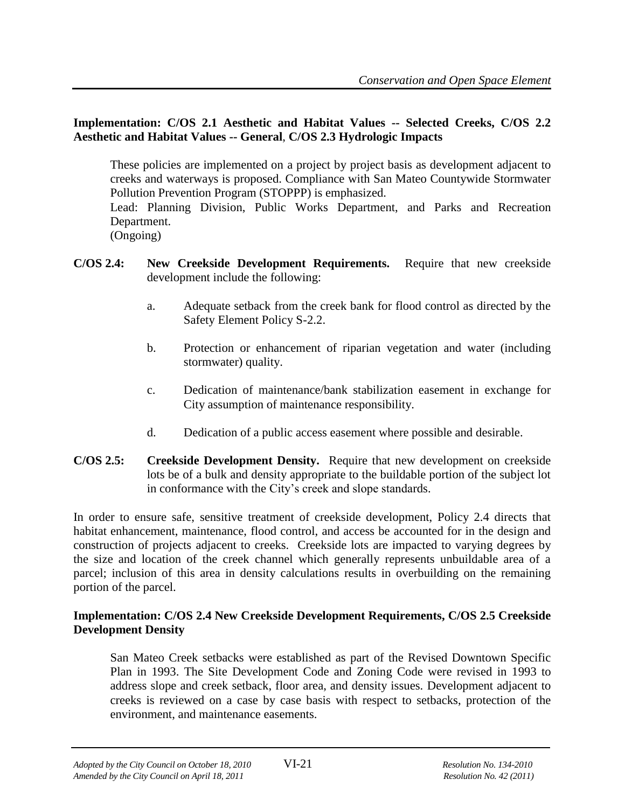#### **Implementation: C/OS 2.1 Aesthetic and Habitat Values -- Selected Creeks, C/OS 2.2 Aesthetic and Habitat Values -- General**, **C/OS 2.3 Hydrologic Impacts**

These policies are implemented on a project by project basis as development adjacent to creeks and waterways is proposed. Compliance with San Mateo Countywide Stormwater Pollution Prevention Program (STOPPP) is emphasized.

Lead: Planning Division, Public Works Department, and Parks and Recreation Department.

(Ongoing)

- **C/OS 2.4: New Creekside Development Requirements.** Require that new creekside development include the following:
	- a. Adequate setback from the creek bank for flood control as directed by the Safety Element Policy S-2.2.
	- b. Protection or enhancement of riparian vegetation and water (including stormwater) quality.
	- c. Dedication of maintenance/bank stabilization easement in exchange for City assumption of maintenance responsibility.
	- d. Dedication of a public access easement where possible and desirable.
- **C/OS 2.5: Creekside Development Density.** Require that new development on creekside lots be of a bulk and density appropriate to the buildable portion of the subject lot in conformance with the City's creek and slope standards.

In order to ensure safe, sensitive treatment of creekside development, Policy 2.4 directs that habitat enhancement, maintenance, flood control, and access be accounted for in the design and construction of projects adjacent to creeks. Creekside lots are impacted to varying degrees by the size and location of the creek channel which generally represents unbuildable area of a parcel; inclusion of this area in density calculations results in overbuilding on the remaining portion of the parcel.

#### **Implementation: C/OS 2.4 New Creekside Development Requirements, C/OS 2.5 Creekside Development Density**

San Mateo Creek setbacks were established as part of the Revised Downtown Specific Plan in 1993. The Site Development Code and Zoning Code were revised in 1993 to address slope and creek setback, floor area, and density issues. Development adjacent to creeks is reviewed on a case by case basis with respect to setbacks, protection of the environment, and maintenance easements.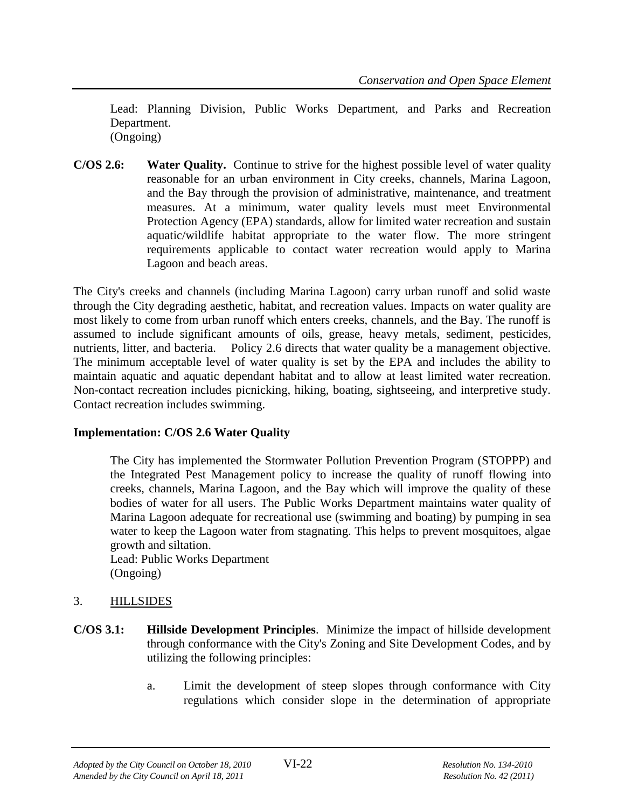Lead: Planning Division, Public Works Department, and Parks and Recreation Department. (Ongoing)

**C/OS 2.6: Water Quality.** Continue to strive for the highest possible level of water quality reasonable for an urban environment in City creeks, channels, Marina Lagoon, and the Bay through the provision of administrative, maintenance, and treatment measures. At a minimum, water quality levels must meet Environmental Protection Agency (EPA) standards, allow for limited water recreation and sustain aquatic/wildlife habitat appropriate to the water flow. The more stringent requirements applicable to contact water recreation would apply to Marina Lagoon and beach areas.

The City's creeks and channels (including Marina Lagoon) carry urban runoff and solid waste through the City degrading aesthetic, habitat, and recreation values. Impacts on water quality are most likely to come from urban runoff which enters creeks, channels, and the Bay. The runoff is assumed to include significant amounts of oils, grease, heavy metals, sediment, pesticides, nutrients, litter, and bacteria. Policy 2.6 directs that water quality be a management objective. The minimum acceptable level of water quality is set by the EPA and includes the ability to maintain aquatic and aquatic dependant habitat and to allow at least limited water recreation. Non-contact recreation includes picnicking, hiking, boating, sightseeing, and interpretive study. Contact recreation includes swimming.

# **Implementation: C/OS 2.6 Water Quality**

The City has implemented the Stormwater Pollution Prevention Program (STOPPP) and the Integrated Pest Management policy to increase the quality of runoff flowing into creeks, channels, Marina Lagoon, and the Bay which will improve the quality of these bodies of water for all users. The Public Works Department maintains water quality of Marina Lagoon adequate for recreational use (swimming and boating) by pumping in sea water to keep the Lagoon water from stagnating. This helps to prevent mosquitoes, algae growth and siltation.

Lead: Public Works Department (Ongoing)

- 3. HILLSIDES
- **C/OS 3.1: Hillside Development Principles**. Minimize the impact of hillside development through conformance with the City's Zoning and Site Development Codes, and by utilizing the following principles:
	- a. Limit the development of steep slopes through conformance with City regulations which consider slope in the determination of appropriate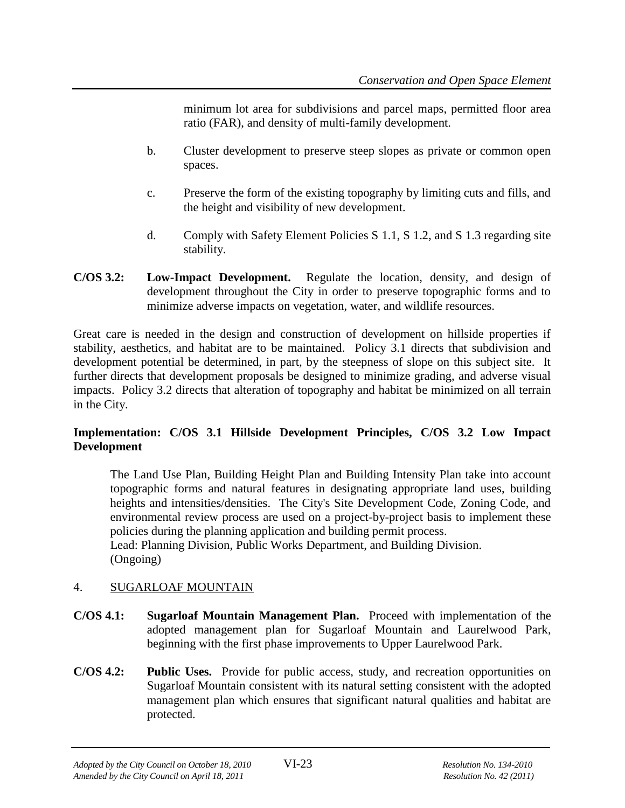minimum lot area for subdivisions and parcel maps, permitted floor area ratio (FAR), and density of multi-family development.

- b. Cluster development to preserve steep slopes as private or common open spaces.
- c. Preserve the form of the existing topography by limiting cuts and fills, and the height and visibility of new development.
- d. Comply with Safety Element Policies S 1.1, S 1.2, and S 1.3 regarding site stability.
- **C/OS 3.2: Low-Impact Development.** Regulate the location, density, and design of development throughout the City in order to preserve topographic forms and to minimize adverse impacts on vegetation, water, and wildlife resources.

Great care is needed in the design and construction of development on hillside properties if stability, aesthetics, and habitat are to be maintained. Policy 3.1 directs that subdivision and development potential be determined, in part, by the steepness of slope on this subject site. It further directs that development proposals be designed to minimize grading, and adverse visual impacts. Policy 3.2 directs that alteration of topography and habitat be minimized on all terrain in the City.

# **Implementation: C/OS 3.1 Hillside Development Principles, C/OS 3.2 Low Impact Development**

The Land Use Plan, Building Height Plan and Building Intensity Plan take into account topographic forms and natural features in designating appropriate land uses, building heights and intensities/densities. The City's Site Development Code, Zoning Code, and environmental review process are used on a project-by-project basis to implement these policies during the planning application and building permit process.

Lead: Planning Division, Public Works Department, and Building Division. (Ongoing)

# 4. SUGARLOAF MOUNTAIN

- **C/OS 4.1: Sugarloaf Mountain Management Plan.** Proceed with implementation of the adopted management plan for Sugarloaf Mountain and Laurelwood Park, beginning with the first phase improvements to Upper Laurelwood Park.
- **C/OS 4.2: Public Uses.** Provide for public access, study, and recreation opportunities on Sugarloaf Mountain consistent with its natural setting consistent with the adopted management plan which ensures that significant natural qualities and habitat are protected.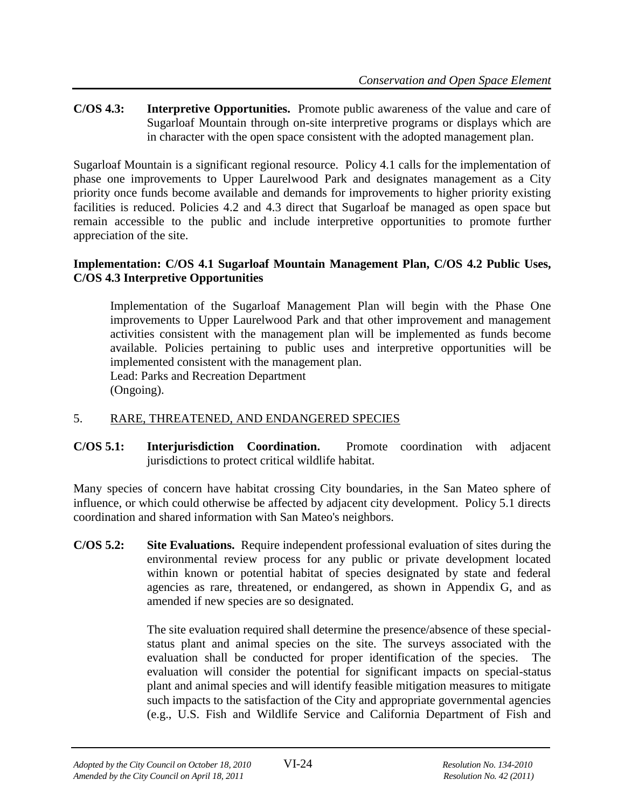**C/OS 4.3: Interpretive Opportunities.** Promote public awareness of the value and care of Sugarloaf Mountain through on-site interpretive programs or displays which are in character with the open space consistent with the adopted management plan.

Sugarloaf Mountain is a significant regional resource. Policy 4.1 calls for the implementation of phase one improvements to Upper Laurelwood Park and designates management as a City priority once funds become available and demands for improvements to higher priority existing facilities is reduced. Policies 4.2 and 4.3 direct that Sugarloaf be managed as open space but remain accessible to the public and include interpretive opportunities to promote further appreciation of the site.

#### **Implementation: C/OS 4.1 Sugarloaf Mountain Management Plan, C/OS 4.2 Public Uses, C/OS 4.3 Interpretive Opportunities**

Implementation of the Sugarloaf Management Plan will begin with the Phase One improvements to Upper Laurelwood Park and that other improvement and management activities consistent with the management plan will be implemented as funds become available. Policies pertaining to public uses and interpretive opportunities will be implemented consistent with the management plan.

Lead: Parks and Recreation Department (Ongoing).

# 5. RARE, THREATENED, AND ENDANGERED SPECIES

**C/OS 5.1: Interjurisdiction Coordination.** Promote coordination with adjacent jurisdictions to protect critical wildlife habitat.

Many species of concern have habitat crossing City boundaries, in the San Mateo sphere of influence, or which could otherwise be affected by adjacent city development. Policy 5.1 directs coordination and shared information with San Mateo's neighbors.

**C/OS 5.2: Site Evaluations.** Require independent professional evaluation of sites during the environmental review process for any public or private development located within known or potential habitat of species designated by state and federal agencies as rare, threatened, or endangered, as shown in Appendix G, and as amended if new species are so designated.

> The site evaluation required shall determine the presence/absence of these specialstatus plant and animal species on the site. The surveys associated with the evaluation shall be conducted for proper identification of the species. The evaluation will consider the potential for significant impacts on special-status plant and animal species and will identify feasible mitigation measures to mitigate such impacts to the satisfaction of the City and appropriate governmental agencies (e.g., U.S. Fish and Wildlife Service and California Department of Fish and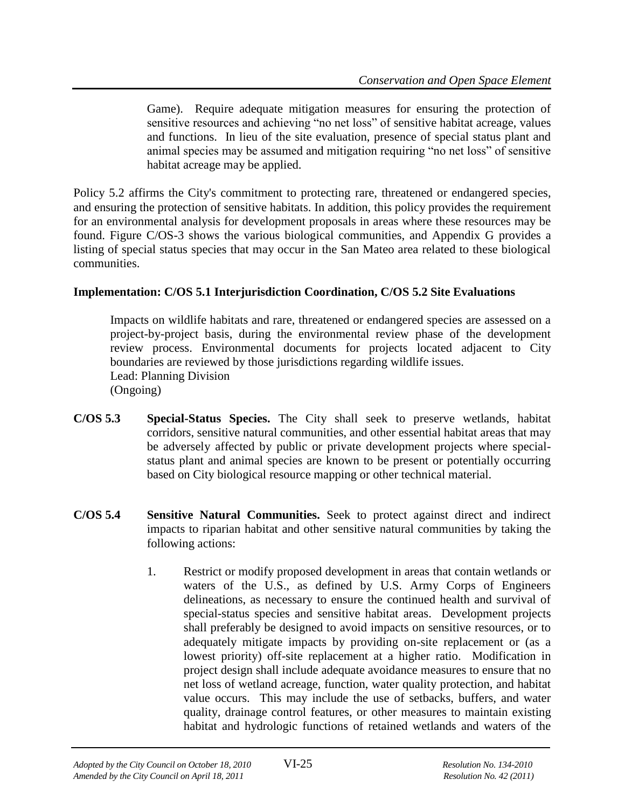Game). Require adequate mitigation measures for ensuring the protection of sensitive resources and achieving "no net loss" of sensitive habitat acreage, values and functions. In lieu of the site evaluation, presence of special status plant and animal species may be assumed and mitigation requiring "no net loss" of sensitive habitat acreage may be applied.

Policy 5.2 affirms the City's commitment to protecting rare, threatened or endangered species, and ensuring the protection of sensitive habitats. In addition, this policy provides the requirement for an environmental analysis for development proposals in areas where these resources may be found. Figure C/OS-3 shows the various biological communities, and Appendix G provides a listing of special status species that may occur in the San Mateo area related to these biological communities.

#### **Implementation: C/OS 5.1 Interjurisdiction Coordination, C/OS 5.2 Site Evaluations**

Impacts on wildlife habitats and rare, threatened or endangered species are assessed on a project-by-project basis, during the environmental review phase of the development review process. Environmental documents for projects located adjacent to City boundaries are reviewed by those jurisdictions regarding wildlife issues. Lead: Planning Division (Ongoing)

- **C/OS 5.3 Special-Status Species.** The City shall seek to preserve wetlands, habitat corridors, sensitive natural communities, and other essential habitat areas that may be adversely affected by public or private development projects where specialstatus plant and animal species are known to be present or potentially occurring based on City biological resource mapping or other technical material.
- **C/OS 5.4 Sensitive Natural Communities.** Seek to protect against direct and indirect impacts to riparian habitat and other sensitive natural communities by taking the following actions:
	- 1. Restrict or modify proposed development in areas that contain wetlands or waters of the U.S., as defined by U.S. Army Corps of Engineers delineations, as necessary to ensure the continued health and survival of special-status species and sensitive habitat areas. Development projects shall preferably be designed to avoid impacts on sensitive resources, or to adequately mitigate impacts by providing on-site replacement or (as a lowest priority) off-site replacement at a higher ratio. Modification in project design shall include adequate avoidance measures to ensure that no net loss of wetland acreage, function, water quality protection, and habitat value occurs. This may include the use of setbacks, buffers, and water quality, drainage control features, or other measures to maintain existing habitat and hydrologic functions of retained wetlands and waters of the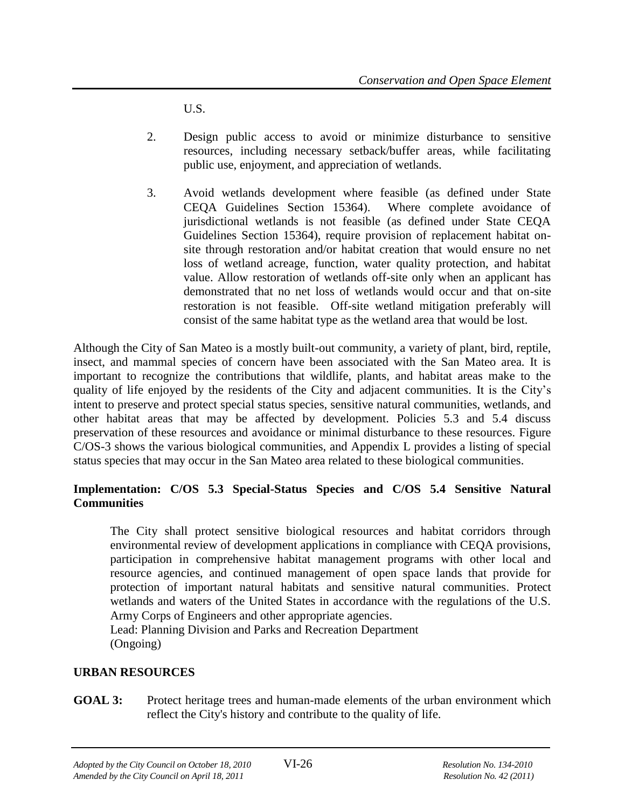U.S.

- 2. Design public access to avoid or minimize disturbance to sensitive resources, including necessary setback/buffer areas, while facilitating public use, enjoyment, and appreciation of wetlands.
- 3. Avoid wetlands development where feasible (as defined under State CEQA Guidelines Section 15364). Where complete avoidance of jurisdictional wetlands is not feasible (as defined under State CEQA Guidelines Section 15364), require provision of replacement habitat onsite through restoration and/or habitat creation that would ensure no net loss of wetland acreage, function, water quality protection, and habitat value. Allow restoration of wetlands off-site only when an applicant has demonstrated that no net loss of wetlands would occur and that on-site restoration is not feasible. Off-site wetland mitigation preferably will consist of the same habitat type as the wetland area that would be lost.

Although the City of San Mateo is a mostly built-out community, a variety of plant, bird, reptile, insect, and mammal species of concern have been associated with the San Mateo area. It is important to recognize the contributions that wildlife, plants, and habitat areas make to the quality of life enjoyed by the residents of the City and adjacent communities. It is the City's intent to preserve and protect special status species, sensitive natural communities, wetlands, and other habitat areas that may be affected by development. Policies 5.3 and 5.4 discuss preservation of these resources and avoidance or minimal disturbance to these resources. Figure C/OS-3 shows the various biological communities, and Appendix L provides a listing of special status species that may occur in the San Mateo area related to these biological communities.

# **Implementation: C/OS 5.3 Special-Status Species and C/OS 5.4 Sensitive Natural Communities**

The City shall protect sensitive biological resources and habitat corridors through environmental review of development applications in compliance with CEQA provisions, participation in comprehensive habitat management programs with other local and resource agencies, and continued management of open space lands that provide for protection of important natural habitats and sensitive natural communities. Protect wetlands and waters of the United States in accordance with the regulations of the U.S. Army Corps of Engineers and other appropriate agencies.

Lead: Planning Division and Parks and Recreation Department (Ongoing)

#### **URBAN RESOURCES**

**GOAL 3:** Protect heritage trees and human-made elements of the urban environment which reflect the City's history and contribute to the quality of life.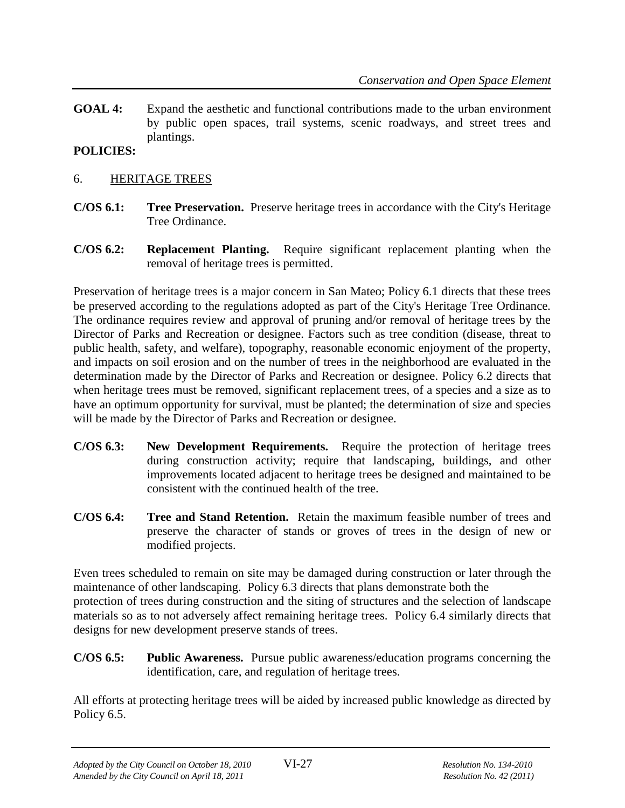**GOAL 4:** Expand the aesthetic and functional contributions made to the urban environment by public open spaces, trail systems, scenic roadways, and street trees and plantings.

# **POLICIES:**

- 6. HERITAGE TREES
- **C/OS 6.1: Tree Preservation.** Preserve heritage trees in accordance with the City's Heritage Tree Ordinance.
- **C/OS 6.2: Replacement Planting.** Require significant replacement planting when the removal of heritage trees is permitted.

Preservation of heritage trees is a major concern in San Mateo; Policy 6.1 directs that these trees be preserved according to the regulations adopted as part of the City's Heritage Tree Ordinance. The ordinance requires review and approval of pruning and/or removal of heritage trees by the Director of Parks and Recreation or designee. Factors such as tree condition (disease, threat to public health, safety, and welfare), topography, reasonable economic enjoyment of the property, and impacts on soil erosion and on the number of trees in the neighborhood are evaluated in the determination made by the Director of Parks and Recreation or designee. Policy 6.2 directs that when heritage trees must be removed, significant replacement trees, of a species and a size as to have an optimum opportunity for survival, must be planted; the determination of size and species will be made by the Director of Parks and Recreation or designee.

- **C/OS 6.3: New Development Requirements.** Require the protection of heritage trees during construction activity; require that landscaping, buildings, and other improvements located adjacent to heritage trees be designed and maintained to be consistent with the continued health of the tree.
- **C/OS 6.4: Tree and Stand Retention.** Retain the maximum feasible number of trees and preserve the character of stands or groves of trees in the design of new or modified projects.

Even trees scheduled to remain on site may be damaged during construction or later through the maintenance of other landscaping. Policy 6.3 directs that plans demonstrate both the protection of trees during construction and the siting of structures and the selection of landscape materials so as to not adversely affect remaining heritage trees. Policy 6.4 similarly directs that designs for new development preserve stands of trees.

**C/OS 6.5: Public Awareness.** Pursue public awareness/education programs concerning the identification, care, and regulation of heritage trees.

All efforts at protecting heritage trees will be aided by increased public knowledge as directed by Policy 6.5.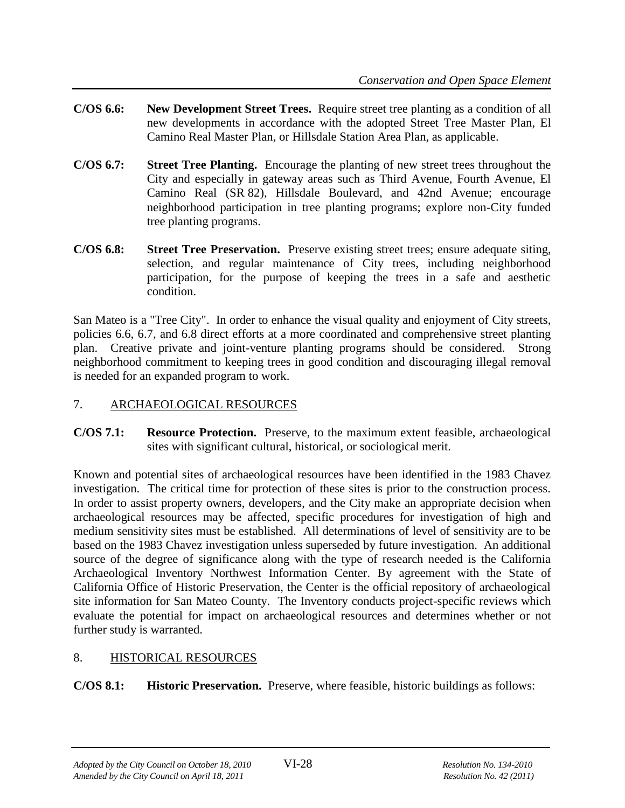- **C/OS 6.6: New Development Street Trees.** Require street tree planting as a condition of all new developments in accordance with the adopted Street Tree Master Plan, El Camino Real Master Plan, or Hillsdale Station Area Plan, as applicable.
- **C/OS 6.7: Street Tree Planting.** Encourage the planting of new street trees throughout the City and especially in gateway areas such as Third Avenue, Fourth Avenue, El Camino Real (SR 82), Hillsdale Boulevard, and 42nd Avenue; encourage neighborhood participation in tree planting programs; explore non-City funded tree planting programs.
- **C/OS 6.8: Street Tree Preservation.** Preserve existing street trees; ensure adequate siting, selection, and regular maintenance of City trees, including neighborhood participation, for the purpose of keeping the trees in a safe and aesthetic condition.

San Mateo is a "Tree City". In order to enhance the visual quality and enjoyment of City streets, policies 6.6, 6.7, and 6.8 direct efforts at a more coordinated and comprehensive street planting plan. Creative private and joint-venture planting programs should be considered. Strong neighborhood commitment to keeping trees in good condition and discouraging illegal removal is needed for an expanded program to work.

# 7. ARCHAEOLOGICAL RESOURCES

**C/OS 7.1: Resource Protection.** Preserve, to the maximum extent feasible, archaeological sites with significant cultural, historical, or sociological merit.

Known and potential sites of archaeological resources have been identified in the 1983 Chavez investigation. The critical time for protection of these sites is prior to the construction process. In order to assist property owners, developers, and the City make an appropriate decision when archaeological resources may be affected, specific procedures for investigation of high and medium sensitivity sites must be established. All determinations of level of sensitivity are to be based on the 1983 Chavez investigation unless superseded by future investigation. An additional source of the degree of significance along with the type of research needed is the California Archaeological Inventory Northwest Information Center. By agreement with the State of California Office of Historic Preservation, the Center is the official repository of archaeological site information for San Mateo County. The Inventory conducts project-specific reviews which evaluate the potential for impact on archaeological resources and determines whether or not further study is warranted.

# 8. HISTORICAL RESOURCES

**C/OS 8.1: Historic Preservation.** Preserve, where feasible, historic buildings as follows: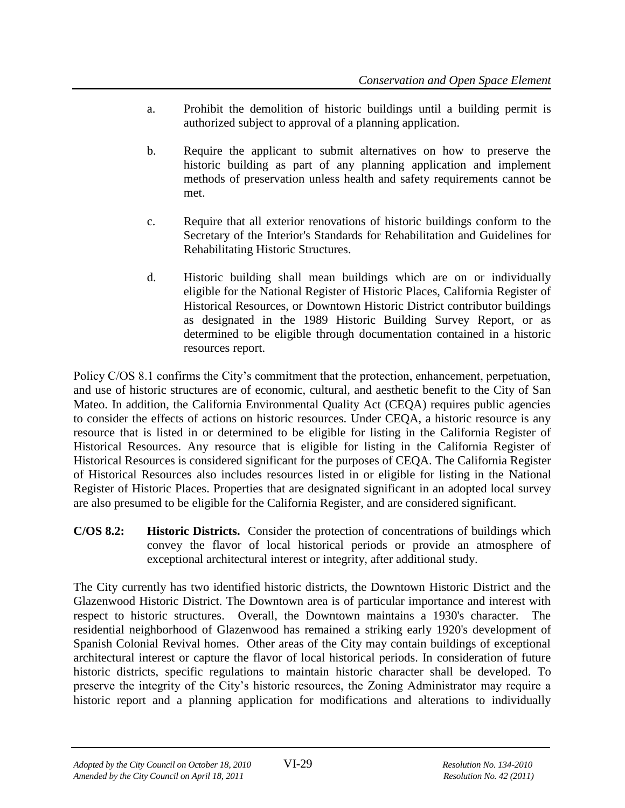- a. Prohibit the demolition of historic buildings until a building permit is authorized subject to approval of a planning application.
- b. Require the applicant to submit alternatives on how to preserve the historic building as part of any planning application and implement methods of preservation unless health and safety requirements cannot be met.
- c. Require that all exterior renovations of historic buildings conform to the Secretary of the Interior's Standards for Rehabilitation and Guidelines for Rehabilitating Historic Structures.
- d. Historic building shall mean buildings which are on or individually eligible for the National Register of Historic Places, California Register of Historical Resources, or Downtown Historic District contributor buildings as designated in the 1989 Historic Building Survey Report, or as determined to be eligible through documentation contained in a historic resources report.

Policy C/OS 8.1 confirms the City's commitment that the protection, enhancement, perpetuation, and use of historic structures are of economic, cultural, and aesthetic benefit to the City of San Mateo. In addition, the California Environmental Quality Act (CEQA) requires public agencies to consider the effects of actions on historic resources. Under CEQA, a historic resource is any resource that is listed in or determined to be eligible for listing in the California Register of Historical Resources. Any resource that is eligible for listing in the California Register of Historical Resources is considered significant for the purposes of CEQA. The California Register of Historical Resources also includes resources listed in or eligible for listing in the National Register of Historic Places. Properties that are designated significant in an adopted local survey are also presumed to be eligible for the California Register, and are considered significant.

**C/OS 8.2: Historic Districts.** Consider the protection of concentrations of buildings which convey the flavor of local historical periods or provide an atmosphere of exceptional architectural interest or integrity, after additional study.

The City currently has two identified historic districts, the Downtown Historic District and the Glazenwood Historic District. The Downtown area is of particular importance and interest with respect to historic structures. Overall, the Downtown maintains a 1930's character. The residential neighborhood of Glazenwood has remained a striking early 1920's development of Spanish Colonial Revival homes. Other areas of the City may contain buildings of exceptional architectural interest or capture the flavor of local historical periods. In consideration of future historic districts, specific regulations to maintain historic character shall be developed. To preserve the integrity of the City's historic resources, the Zoning Administrator may require a historic report and a planning application for modifications and alterations to individually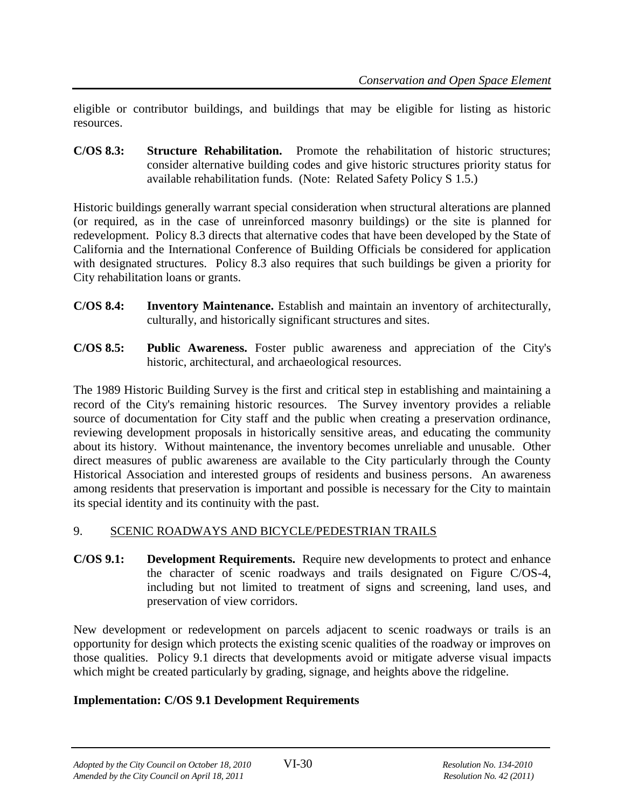eligible or contributor buildings, and buildings that may be eligible for listing as historic resources.

**C/OS 8.3: Structure Rehabilitation.** Promote the rehabilitation of historic structures; consider alternative building codes and give historic structures priority status for available rehabilitation funds. (Note: Related Safety Policy S 1.5.)

Historic buildings generally warrant special consideration when structural alterations are planned (or required, as in the case of unreinforced masonry buildings) or the site is planned for redevelopment. Policy 8.3 directs that alternative codes that have been developed by the State of California and the International Conference of Building Officials be considered for application with designated structures. Policy 8.3 also requires that such buildings be given a priority for City rehabilitation loans or grants.

- **C/OS 8.4: Inventory Maintenance.** Establish and maintain an inventory of architecturally, culturally, and historically significant structures and sites.
- **C/OS 8.5: Public Awareness.** Foster public awareness and appreciation of the City's historic, architectural, and archaeological resources.

The 1989 Historic Building Survey is the first and critical step in establishing and maintaining a record of the City's remaining historic resources. The Survey inventory provides a reliable source of documentation for City staff and the public when creating a preservation ordinance, reviewing development proposals in historically sensitive areas, and educating the community about its history. Without maintenance, the inventory becomes unreliable and unusable. Other direct measures of public awareness are available to the City particularly through the County Historical Association and interested groups of residents and business persons. An awareness among residents that preservation is important and possible is necessary for the City to maintain its special identity and its continuity with the past.

# 9. SCENIC ROADWAYS AND BICYCLE/PEDESTRIAN TRAILS

**C/OS 9.1: Development Requirements.** Require new developments to protect and enhance the character of scenic roadways and trails designated on Figure C/OS-4, including but not limited to treatment of signs and screening, land uses, and preservation of view corridors.

New development or redevelopment on parcels adjacent to scenic roadways or trails is an opportunity for design which protects the existing scenic qualities of the roadway or improves on those qualities. Policy 9.1 directs that developments avoid or mitigate adverse visual impacts which might be created particularly by grading, signage, and heights above the ridgeline.

#### **Implementation: C/OS 9.1 Development Requirements**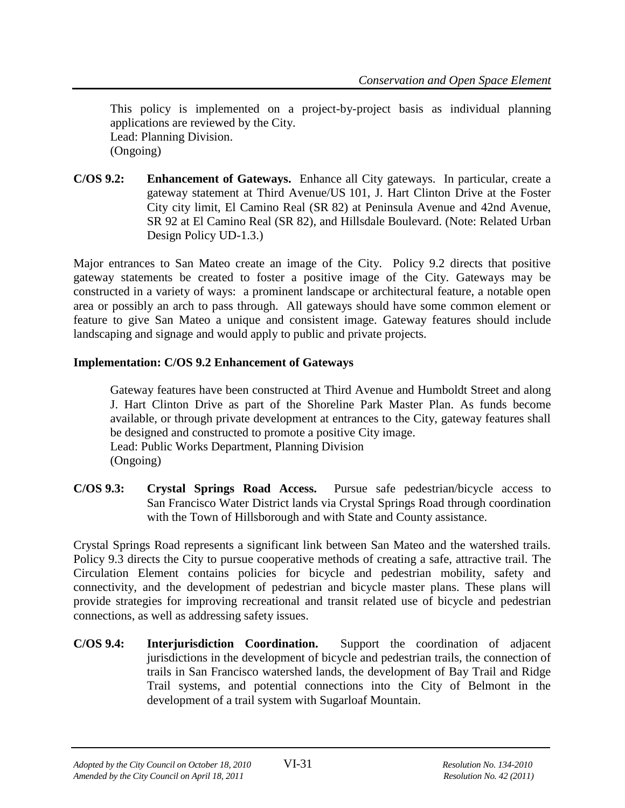This policy is implemented on a project-by-project basis as individual planning applications are reviewed by the City. Lead: Planning Division. (Ongoing)

**C/OS 9.2: Enhancement of Gateways.** Enhance all City gateways. In particular, create a gateway statement at Third Avenue/US 101, J. Hart Clinton Drive at the Foster City city limit, El Camino Real (SR 82) at Peninsula Avenue and 42nd Avenue, SR 92 at El Camino Real (SR 82), and Hillsdale Boulevard. (Note: Related Urban Design Policy UD-1.3.)

Major entrances to San Mateo create an image of the City. Policy 9.2 directs that positive gateway statements be created to foster a positive image of the City. Gateways may be constructed in a variety of ways: a prominent landscape or architectural feature, a notable open area or possibly an arch to pass through. All gateways should have some common element or feature to give San Mateo a unique and consistent image. Gateway features should include landscaping and signage and would apply to public and private projects.

#### **Implementation: C/OS 9.2 Enhancement of Gateways**

Gateway features have been constructed at Third Avenue and Humboldt Street and along J. Hart Clinton Drive as part of the Shoreline Park Master Plan. As funds become available, or through private development at entrances to the City, gateway features shall be designed and constructed to promote a positive City image. Lead: Public Works Department, Planning Division (Ongoing)

**C/OS 9.3: Crystal Springs Road Access.** Pursue safe pedestrian/bicycle access to San Francisco Water District lands via Crystal Springs Road through coordination with the Town of Hillsborough and with State and County assistance.

Crystal Springs Road represents a significant link between San Mateo and the watershed trails. Policy 9.3 directs the City to pursue cooperative methods of creating a safe, attractive trail. The Circulation Element contains policies for bicycle and pedestrian mobility, safety and connectivity, and the development of pedestrian and bicycle master plans. These plans will provide strategies for improving recreational and transit related use of bicycle and pedestrian connections, as well as addressing safety issues.

**C/OS 9.4: Interjurisdiction Coordination.** Support the coordination of adjacent jurisdictions in the development of bicycle and pedestrian trails, the connection of trails in San Francisco watershed lands, the development of Bay Trail and Ridge Trail systems, and potential connections into the City of Belmont in the development of a trail system with Sugarloaf Mountain.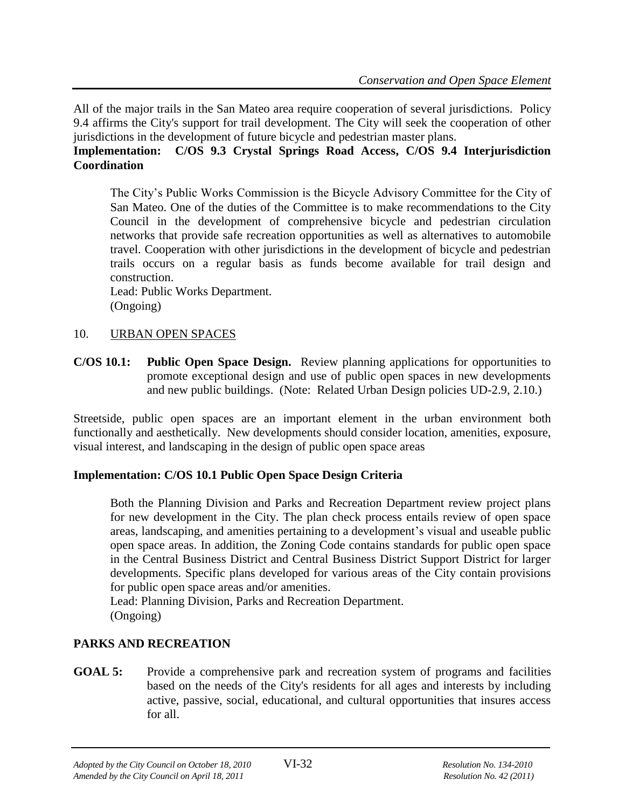All of the major trails in the San Mateo area require cooperation of several jurisdictions. Policy 9.4 affirms the City's support for trail development. The City will seek the cooperation of other jurisdictions in the development of future bicycle and pedestrian master plans.

# **Implementation: C/OS 9.3 Crystal Springs Road Access, C/OS 9.4 Interjurisdiction Coordination**

The City's Public Works Commission is the Bicycle Advisory Committee for the City of San Mateo. One of the duties of the Committee is to make recommendations to the City Council in the development of comprehensive bicycle and pedestrian circulation networks that provide safe recreation opportunities as well as alternatives to automobile travel. Cooperation with other jurisdictions in the development of bicycle and pedestrian trails occurs on a regular basis as funds become available for trail design and construction.

Lead: Public Works Department. (Ongoing)

#### 10. URBAN OPEN SPACES

**C/OS 10.1: Public Open Space Design.** Review planning applications for opportunities to promote exceptional design and use of public open spaces in new developments and new public buildings. (Note: Related Urban Design policies UD-2.9, 2.10.)

Streetside, public open spaces are an important element in the urban environment both functionally and aesthetically. New developments should consider location, amenities, exposure, visual interest, and landscaping in the design of public open space areas

# **Implementation: C/OS 10.1 Public Open Space Design Criteria**

Both the Planning Division and Parks and Recreation Department review project plans for new development in the City. The plan check process entails review of open space areas, landscaping, and amenities pertaining to a development's visual and useable public open space areas. In addition, the Zoning Code contains standards for public open space in the Central Business District and Central Business District Support District for larger developments. Specific plans developed for various areas of the City contain provisions for public open space areas and/or amenities.

Lead: Planning Division, Parks and Recreation Department. (Ongoing)

# **PARKS AND RECREATION**

**GOAL 5:** Provide a comprehensive park and recreation system of programs and facilities based on the needs of the City's residents for all ages and interests by including active, passive, social, educational, and cultural opportunities that insures access for all.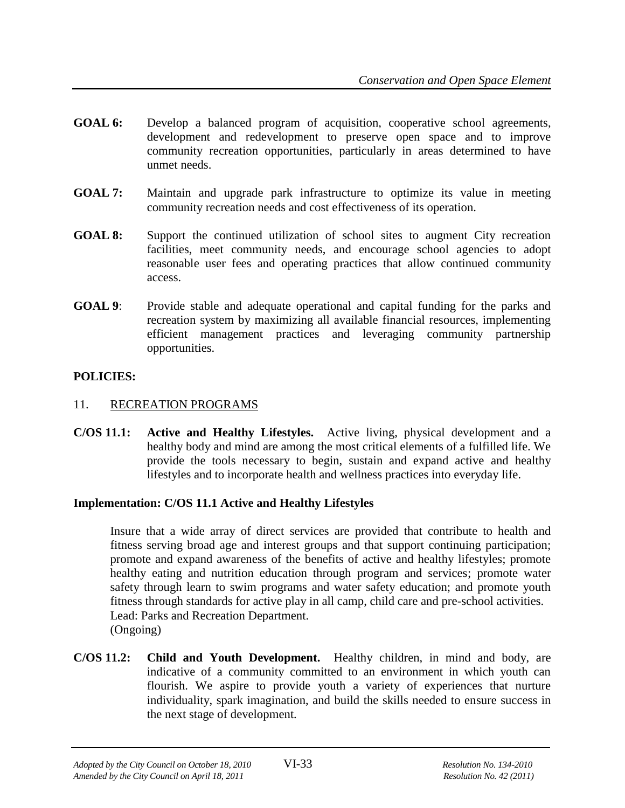- **GOAL 6:** Develop a balanced program of acquisition, cooperative school agreements, development and redevelopment to preserve open space and to improve community recreation opportunities, particularly in areas determined to have unmet needs.
- **GOAL 7:** Maintain and upgrade park infrastructure to optimize its value in meeting community recreation needs and cost effectiveness of its operation.
- **GOAL 8:** Support the continued utilization of school sites to augment City recreation facilities, meet community needs, and encourage school agencies to adopt reasonable user fees and operating practices that allow continued community access.
- **GOAL 9:** Provide stable and adequate operational and capital funding for the parks and recreation system by maximizing all available financial resources, implementing efficient management practices and leveraging community partnership opportunities.

# **POLICIES:**

## 11. RECREATION PROGRAMS

**C/OS 11.1: Active and Healthy Lifestyles.** Active living, physical development and a healthy body and mind are among the most critical elements of a fulfilled life. We provide the tools necessary to begin, sustain and expand active and healthy lifestyles and to incorporate health and wellness practices into everyday life*.*

# **Implementation: C/OS 11.1 Active and Healthy Lifestyles**

Insure that a wide array of direct services are provided that contribute to health and fitness serving broad age and interest groups and that support continuing participation; promote and expand awareness of the benefits of active and healthy lifestyles; promote healthy eating and nutrition education through program and services; promote water safety through learn to swim programs and water safety education; and promote youth fitness through standards for active play in all camp, child care and pre-school activities. Lead: Parks and Recreation Department. (Ongoing)

**C/OS 11.2: Child and Youth Development.** Healthy children, in mind and body, are indicative of a community committed to an environment in which youth can flourish. We aspire to provide youth a variety of experiences that nurture individuality, spark imagination, and build the skills needed to ensure success in the next stage of development*.*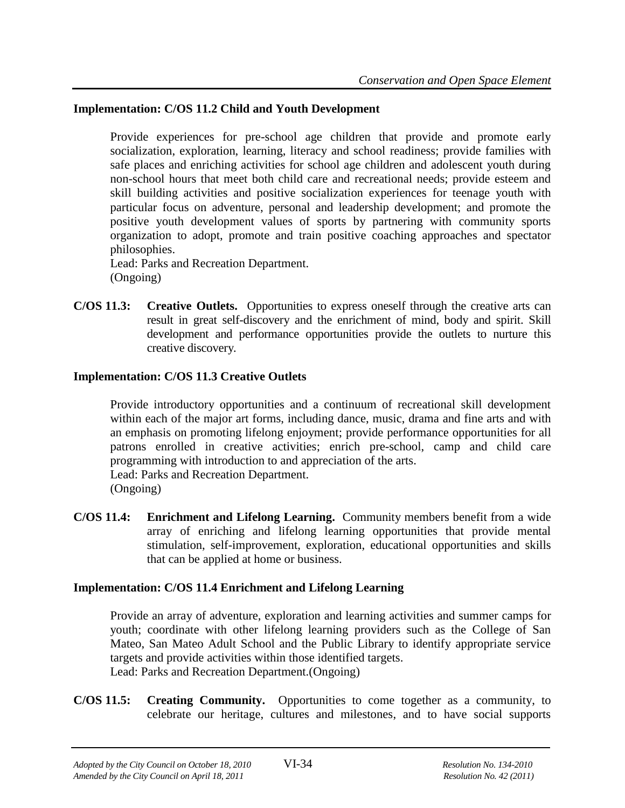#### **Implementation: C/OS 11.2 Child and Youth Development**

Provide experiences for pre-school age children that provide and promote early socialization, exploration, learning, literacy and school readiness; provide families with safe places and enriching activities for school age children and adolescent youth during non-school hours that meet both child care and recreational needs; provide esteem and skill building activities and positive socialization experiences for teenage youth with particular focus on adventure, personal and leadership development; and promote the positive youth development values of sports by partnering with community sports organization to adopt, promote and train positive coaching approaches and spectator philosophies.

Lead: Parks and Recreation Department. (Ongoing)

**C/OS 11.3: Creative Outlets.** Opportunities to express oneself through the creative arts can result in great self-discovery and the enrichment of mind, body and spirit. Skill development and performance opportunities provide the outlets to nurture this creative discovery*.*

#### **Implementation: C/OS 11.3 Creative Outlets**

Provide introductory opportunities and a continuum of recreational skill development within each of the major art forms, including dance, music, drama and fine arts and with an emphasis on promoting lifelong enjoyment; provide performance opportunities for all patrons enrolled in creative activities; enrich pre-school, camp and child care programming with introduction to and appreciation of the arts.

Lead: Parks and Recreation Department.

(Ongoing)

**C/OS 11.4: Enrichment and Lifelong Learning.** Community members benefit from a wide array of enriching and lifelong learning opportunities that provide mental stimulation, self-improvement, exploration, educational opportunities and skills that can be applied at home or business.

# **Implementation: C/OS 11.4 Enrichment and Lifelong Learning**

Provide an array of adventure, exploration and learning activities and summer camps for youth; coordinate with other lifelong learning providers such as the College of San Mateo, San Mateo Adult School and the Public Library to identify appropriate service targets and provide activities within those identified targets. Lead: Parks and Recreation Department.(Ongoing)

**C/OS 11.5: Creating Community.** Opportunities to come together as a community, to celebrate our heritage, cultures and milestones, and to have social supports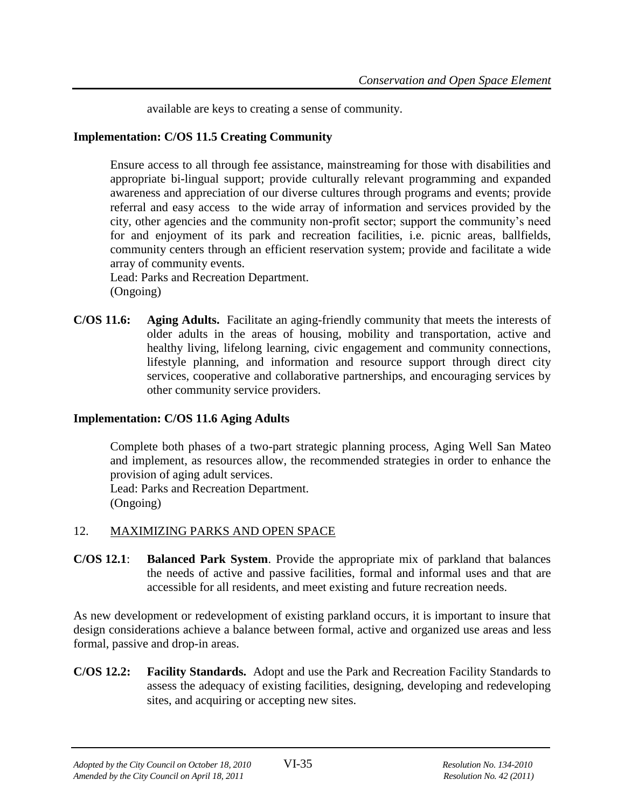available are keys to creating a sense of community.

#### **Implementation: C/OS 11.5 Creating Community**

Ensure access to all through fee assistance, mainstreaming for those with disabilities and appropriate bi-lingual support; provide culturally relevant programming and expanded awareness and appreciation of our diverse cultures through programs and events; provide referral and easy access to the wide array of information and services provided by the city, other agencies and the community non-profit sector; support the community's need for and enjoyment of its park and recreation facilities, i.e. picnic areas, ballfields, community centers through an efficient reservation system; provide and facilitate a wide array of community events.

Lead: Parks and Recreation Department. (Ongoing)

**C/OS 11.6: Aging Adults.** Facilitate an aging-friendly community that meets the interests of older adults in the areas of housing, mobility and transportation, active and healthy living, lifelong learning, civic engagement and community connections, lifestyle planning, and information and resource support through direct city services, cooperative and collaborative partnerships, and encouraging services by other community service providers.

# **Implementation: C/OS 11.6 Aging Adults**

Complete both phases of a two-part strategic planning process, Aging Well San Mateo and implement, as resources allow, the recommended strategies in order to enhance the provision of aging adult services. Lead: Parks and Recreation Department.

(Ongoing)

# 12. MAXIMIZING PARKS AND OPEN SPACE

**C/OS 12.1**: **Balanced Park System**. Provide the appropriate mix of parkland that balances the needs of active and passive facilities, formal and informal uses and that are accessible for all residents, and meet existing and future recreation needs.

As new development or redevelopment of existing parkland occurs, it is important to insure that design considerations achieve a balance between formal, active and organized use areas and less formal, passive and drop-in areas.

**C/OS 12.2: Facility Standards.** Adopt and use the Park and Recreation Facility Standards to assess the adequacy of existing facilities, designing, developing and redeveloping sites, and acquiring or accepting new sites.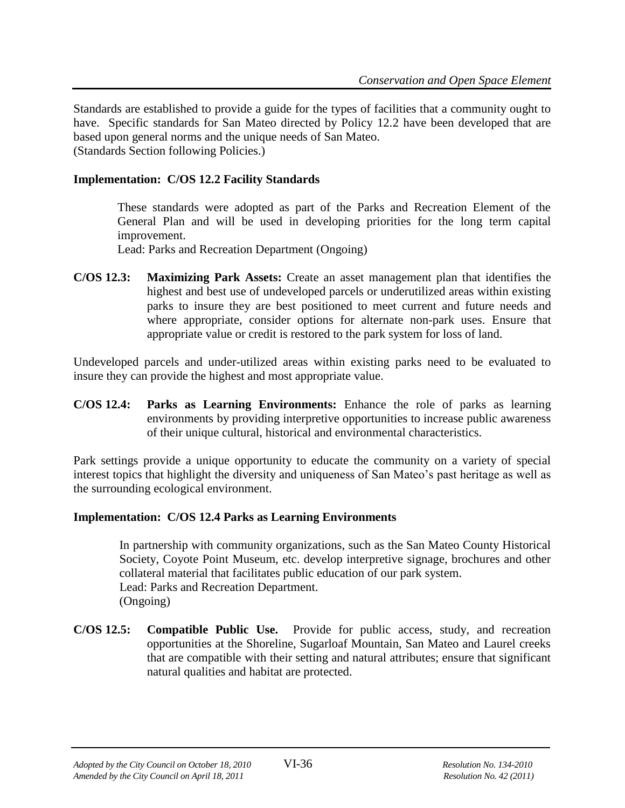Standards are established to provide a guide for the types of facilities that a community ought to have. Specific standards for San Mateo directed by Policy 12.2 have been developed that are based upon general norms and the unique needs of San Mateo. (Standards Section following Policies.)

#### **Implementation: C/OS 12.2 Facility Standards**

These standards were adopted as part of the Parks and Recreation Element of the General Plan and will be used in developing priorities for the long term capital improvement.

Lead: Parks and Recreation Department (Ongoing)

**C/OS 12.3: Maximizing Park Assets:** Create an asset management plan that identifies the highest and best use of undeveloped parcels or underutilized areas within existing parks to insure they are best positioned to meet current and future needs and where appropriate, consider options for alternate non-park uses. Ensure that appropriate value or credit is restored to the park system for loss of land.

Undeveloped parcels and under-utilized areas within existing parks need to be evaluated to insure they can provide the highest and most appropriate value.

**C/OS 12.4: Parks as Learning Environments:** Enhance the role of parks as learning environments by providing interpretive opportunities to increase public awareness of their unique cultural, historical and environmental characteristics.

Park settings provide a unique opportunity to educate the community on a variety of special interest topics that highlight the diversity and uniqueness of San Mateo's past heritage as well as the surrounding ecological environment.

#### **Implementation: C/OS 12.4 Parks as Learning Environments**

In partnership with community organizations, such as the San Mateo County Historical Society, Coyote Point Museum, etc. develop interpretive signage, brochures and other collateral material that facilitates public education of our park system. Lead: Parks and Recreation Department. (Ongoing)

**C/OS 12.5: Compatible Public Use.** Provide for public access, study, and recreation opportunities at the Shoreline, Sugarloaf Mountain, San Mateo and Laurel creeks that are compatible with their setting and natural attributes; ensure that significant natural qualities and habitat are protected.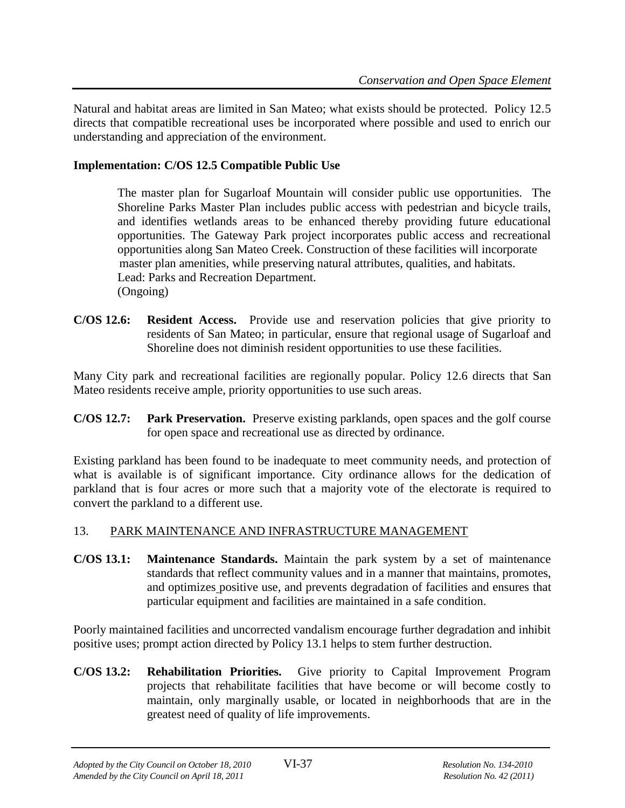Natural and habitat areas are limited in San Mateo; what exists should be protected. Policy 12.5 directs that compatible recreational uses be incorporated where possible and used to enrich our understanding and appreciation of the environment.

#### **Implementation: C/OS 12.5 Compatible Public Use**

The master plan for Sugarloaf Mountain will consider public use opportunities. The Shoreline Parks Master Plan includes public access with pedestrian and bicycle trails, and identifies wetlands areas to be enhanced thereby providing future educational opportunities. The Gateway Park project incorporates public access and recreational opportunities along San Mateo Creek. Construction of these facilities will incorporate master plan amenities, while preserving natural attributes, qualities, and habitats. Lead: Parks and Recreation Department. (Ongoing)

**C/OS 12.6: Resident Access.** Provide use and reservation policies that give priority to residents of San Mateo; in particular, ensure that regional usage of Sugarloaf and Shoreline does not diminish resident opportunities to use these facilities.

Many City park and recreational facilities are regionally popular. Policy 12.6 directs that San Mateo residents receive ample, priority opportunities to use such areas.

**C/OS 12.7: Park Preservation.** Preserve existing parklands, open spaces and the golf course for open space and recreational use as directed by ordinance.

Existing parkland has been found to be inadequate to meet community needs, and protection of what is available is of significant importance. City ordinance allows for the dedication of parkland that is four acres or more such that a majority vote of the electorate is required to convert the parkland to a different use.

# 13. PARK MAINTENANCE AND INFRASTRUCTURE MANAGEMENT

**C/OS 13.1: Maintenance Standards.** Maintain the park system by a set of maintenance standards that reflect community values and in a manner that maintains, promotes, and optimizes positive use, and prevents degradation of facilities and ensures that particular equipment and facilities are maintained in a safe condition.

Poorly maintained facilities and uncorrected vandalism encourage further degradation and inhibit positive uses; prompt action directed by Policy 13.1 helps to stem further destruction.

**C/OS 13.2: Rehabilitation Priorities.** Give priority to Capital Improvement Program projects that rehabilitate facilities that have become or will become costly to maintain, only marginally usable, or located in neighborhoods that are in the greatest need of quality of life improvements.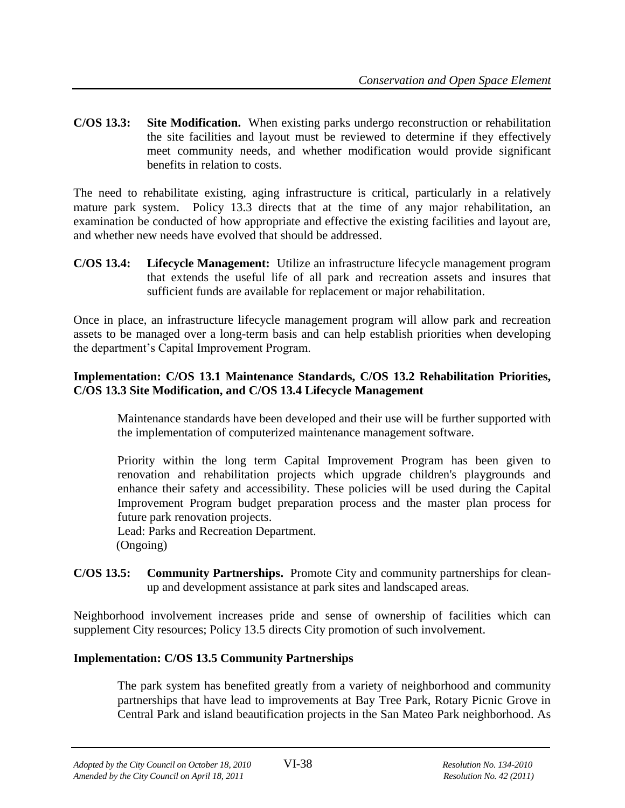**C/OS 13.3: Site Modification.** When existing parks undergo reconstruction or rehabilitation the site facilities and layout must be reviewed to determine if they effectively meet community needs, and whether modification would provide significant benefits in relation to costs.

The need to rehabilitate existing, aging infrastructure is critical, particularly in a relatively mature park system. Policy 13.3 directs that at the time of any major rehabilitation, an examination be conducted of how appropriate and effective the existing facilities and layout are, and whether new needs have evolved that should be addressed.

**C/OS 13.4: Lifecycle Management:** Utilize an infrastructure lifecycle management program that extends the useful life of all park and recreation assets and insures that sufficient funds are available for replacement or major rehabilitation.

Once in place, an infrastructure lifecycle management program will allow park and recreation assets to be managed over a long-term basis and can help establish priorities when developing the department's Capital Improvement Program.

#### **Implementation: C/OS 13.1 Maintenance Standards, C/OS 13.2 Rehabilitation Priorities, C/OS 13.3 Site Modification, and C/OS 13.4 Lifecycle Management**

Maintenance standards have been developed and their use will be further supported with the implementation of computerized maintenance management software.

Priority within the long term Capital Improvement Program has been given to renovation and rehabilitation projects which upgrade children's playgrounds and enhance their safety and accessibility. These policies will be used during the Capital Improvement Program budget preparation process and the master plan process for future park renovation projects.

Lead: Parks and Recreation Department. (Ongoing)

**C/OS 13.5: Community Partnerships.** Promote City and community partnerships for cleanup and development assistance at park sites and landscaped areas.

Neighborhood involvement increases pride and sense of ownership of facilities which can supplement City resources; Policy 13.5 directs City promotion of such involvement.

#### **Implementation: C/OS 13.5 Community Partnerships**

The park system has benefited greatly from a variety of neighborhood and community partnerships that have lead to improvements at Bay Tree Park, Rotary Picnic Grove in Central Park and island beautification projects in the San Mateo Park neighborhood. As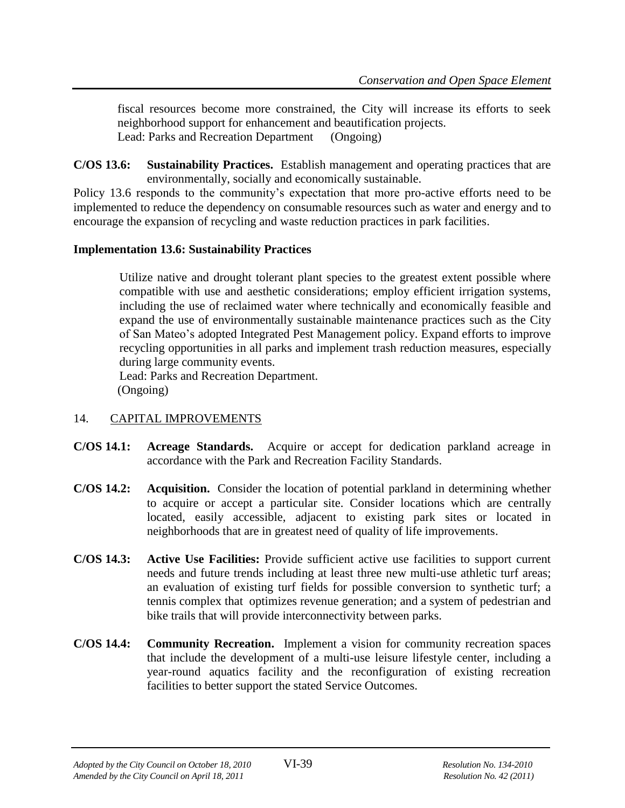fiscal resources become more constrained, the City will increase its efforts to seek neighborhood support for enhancement and beautification projects. Lead: Parks and Recreation Department (Ongoing)

**C/OS 13.6: Sustainability Practices.** Establish management and operating practices that are environmentally, socially and economically sustainable.

Policy 13.6 responds to the community's expectation that more pro-active efforts need to be implemented to reduce the dependency on consumable resources such as water and energy and to encourage the expansion of recycling and waste reduction practices in park facilities.

#### **Implementation 13.6: Sustainability Practices**

Utilize native and drought tolerant plant species to the greatest extent possible where compatible with use and aesthetic considerations; employ efficient irrigation systems, including the use of reclaimed water where technically and economically feasible and expand the use of environmentally sustainable maintenance practices such as the City of San Mateo's adopted Integrated Pest Management policy. Expand efforts to improve recycling opportunities in all parks and implement trash reduction measures, especially during large community events.

Lead: Parks and Recreation Department. (Ongoing)

# 14. CAPITAL IMPROVEMENTS

- **C/OS 14.1: Acreage Standards.** Acquire or accept for dedication parkland acreage in accordance with the Park and Recreation Facility Standards.
- **C/OS 14.2: Acquisition.** Consider the location of potential parkland in determining whether to acquire or accept a particular site. Consider locations which are centrally located, easily accessible, adjacent to existing park sites or located in neighborhoods that are in greatest need of quality of life improvements.
- **C/OS 14.3: Active Use Facilities:** Provide sufficient active use facilities to support current needs and future trends including at least three new multi-use athletic turf areas; an evaluation of existing turf fields for possible conversion to synthetic turf; a tennis complex that optimizes revenue generation; and a system of pedestrian and bike trails that will provide interconnectivity between parks.
- **C/OS 14.4: Community Recreation.** Implement a vision for community recreation spaces that include the development of a multi-use leisure lifestyle center, including a year-round aquatics facility and the reconfiguration of existing recreation facilities to better support the stated Service Outcomes.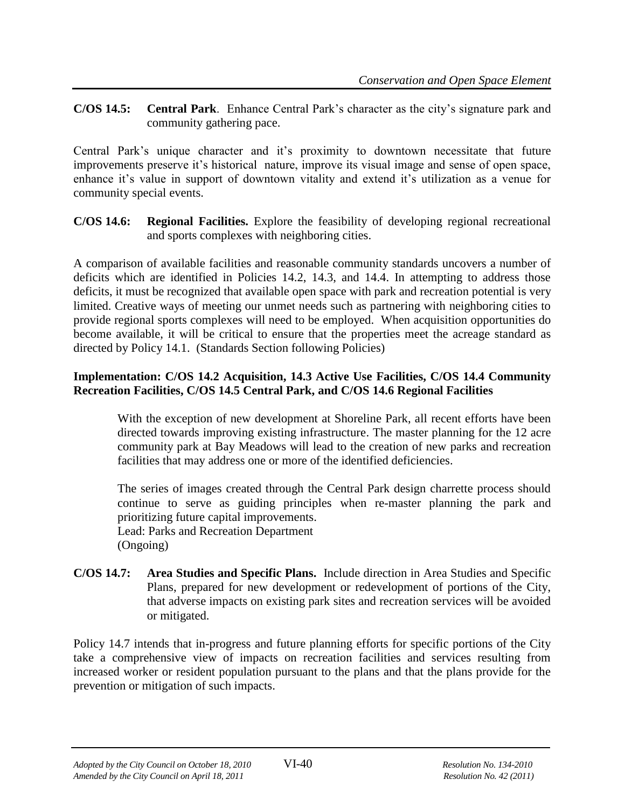**C/OS 14.5: Central Park**. Enhance Central Park's character as the city's signature park and community gathering pace.

Central Park's unique character and it's proximity to downtown necessitate that future improvements preserve it's historical nature, improve its visual image and sense of open space, enhance it's value in support of downtown vitality and extend it's utilization as a venue for community special events.

**C/OS 14.6: Regional Facilities.** Explore the feasibility of developing regional recreational and sports complexes with neighboring cities.

A comparison of available facilities and reasonable community standards uncovers a number of deficits which are identified in Policies 14.2, 14.3, and 14.4. In attempting to address those deficits, it must be recognized that available open space with park and recreation potential is very limited. Creative ways of meeting our unmet needs such as partnering with neighboring cities to provide regional sports complexes will need to be employed. When acquisition opportunities do become available, it will be critical to ensure that the properties meet the acreage standard as directed by Policy 14.1. (Standards Section following Policies)

# **Implementation: C/OS 14.2 Acquisition, 14.3 Active Use Facilities, C/OS 14.4 Community Recreation Facilities, C/OS 14.5 Central Park, and C/OS 14.6 Regional Facilities**

With the exception of new development at Shoreline Park, all recent efforts have been directed towards improving existing infrastructure. The master planning for the 12 acre community park at Bay Meadows will lead to the creation of new parks and recreation facilities that may address one or more of the identified deficiencies.

The series of images created through the Central Park design charrette process should continue to serve as guiding principles when re-master planning the park and prioritizing future capital improvements. Lead: Parks and Recreation Department

(Ongoing)

**C/OS 14.7: Area Studies and Specific Plans.** Include direction in Area Studies and Specific Plans, prepared for new development or redevelopment of portions of the City, that adverse impacts on existing park sites and recreation services will be avoided or mitigated.

Policy 14.7 intends that in-progress and future planning efforts for specific portions of the City take a comprehensive view of impacts on recreation facilities and services resulting from increased worker or resident population pursuant to the plans and that the plans provide for the prevention or mitigation of such impacts.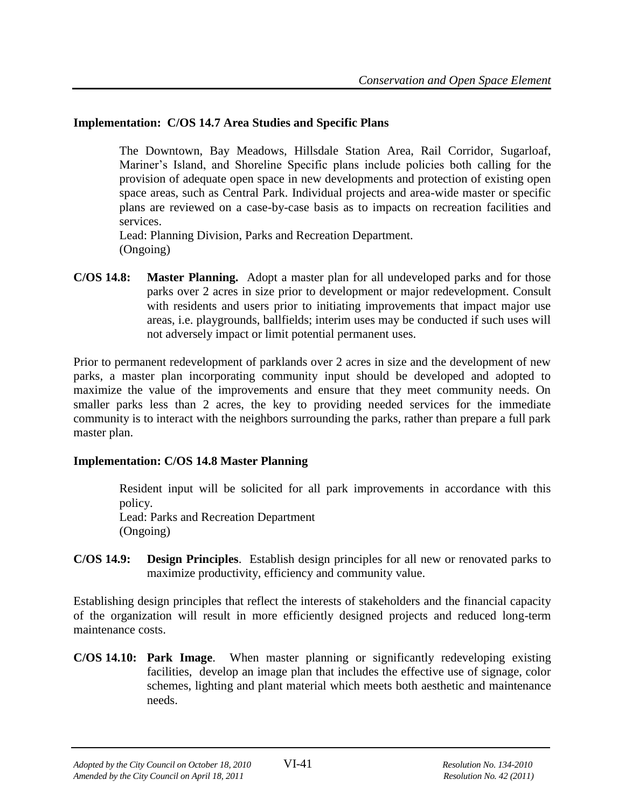# **Implementation: C/OS 14.7 Area Studies and Specific Plans**

The Downtown, Bay Meadows, Hillsdale Station Area, Rail Corridor, Sugarloaf, Mariner's Island, and Shoreline Specific plans include policies both calling for the provision of adequate open space in new developments and protection of existing open space areas, such as Central Park. Individual projects and area-wide master or specific plans are reviewed on a case-by-case basis as to impacts on recreation facilities and services.

Lead: Planning Division, Parks and Recreation Department. (Ongoing)

**C/OS 14.8: Master Planning.** Adopt a master plan for all undeveloped parks and for those parks over 2 acres in size prior to development or major redevelopment. Consult with residents and users prior to initiating improvements that impact major use areas, i.e. playgrounds, ballfields; interim uses may be conducted if such uses will not adversely impact or limit potential permanent uses.

Prior to permanent redevelopment of parklands over 2 acres in size and the development of new parks, a master plan incorporating community input should be developed and adopted to maximize the value of the improvements and ensure that they meet community needs. On smaller parks less than 2 acres, the key to providing needed services for the immediate community is to interact with the neighbors surrounding the parks, rather than prepare a full park master plan.

# **Implementation: C/OS 14.8 Master Planning**

Resident input will be solicited for all park improvements in accordance with this policy. Lead: Parks and Recreation Department

(Ongoing)

**C/OS 14.9: Design Principles**. Establish design principles for all new or renovated parks to maximize productivity, efficiency and community value.

Establishing design principles that reflect the interests of stakeholders and the financial capacity of the organization will result in more efficiently designed projects and reduced long-term maintenance costs.

**C/OS 14.10: Park Image**. When master planning or significantly redeveloping existing facilities, develop an image plan that includes the effective use of signage, color schemes, lighting and plant material which meets both aesthetic and maintenance needs.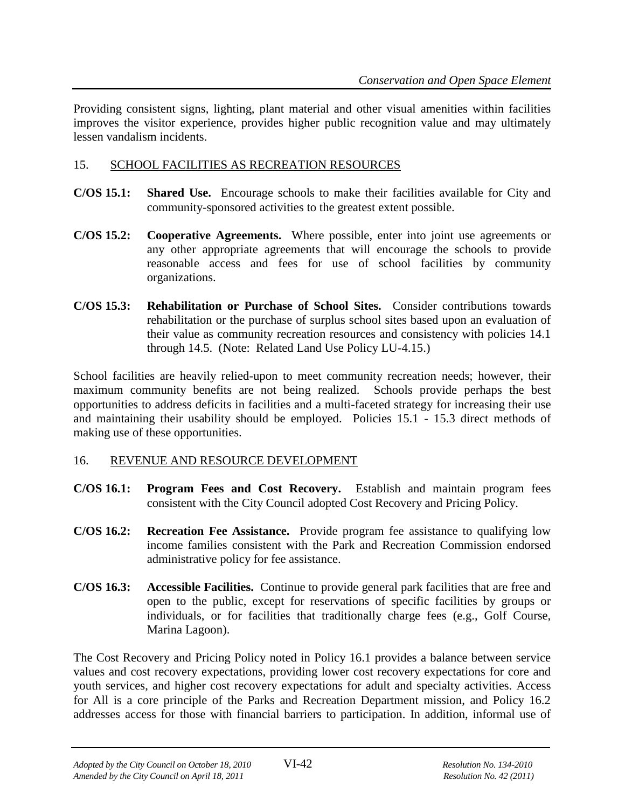Providing consistent signs, lighting, plant material and other visual amenities within facilities improves the visitor experience, provides higher public recognition value and may ultimately lessen vandalism incidents.

#### 15. SCHOOL FACILITIES AS RECREATION RESOURCES

- **C/OS 15.1: Shared Use.** Encourage schools to make their facilities available for City and community-sponsored activities to the greatest extent possible.
- **C/OS 15.2: Cooperative Agreements.** Where possible, enter into joint use agreements or any other appropriate agreements that will encourage the schools to provide reasonable access and fees for use of school facilities by community organizations.
- **C/OS 15.3: Rehabilitation or Purchase of School Sites.** Consider contributions towards rehabilitation or the purchase of surplus school sites based upon an evaluation of their value as community recreation resources and consistency with policies 14.1 through 14.5. (Note: Related Land Use Policy LU-4.15.)

School facilities are heavily relied-upon to meet community recreation needs; however, their maximum community benefits are not being realized. Schools provide perhaps the best opportunities to address deficits in facilities and a multi-faceted strategy for increasing their use and maintaining their usability should be employed. Policies 15.1 - 15.3 direct methods of making use of these opportunities.

# 16. REVENUE AND RESOURCE DEVELOPMENT

- **C/OS 16.1: Program Fees and Cost Recovery.** Establish and maintain program fees consistent with the City Council adopted Cost Recovery and Pricing Policy.
- **C/OS 16.2: Recreation Fee Assistance.** Provide program fee assistance to qualifying low income families consistent with the Park and Recreation Commission endorsed administrative policy for fee assistance.
- **C/OS 16.3: Accessible Facilities.** Continue to provide general park facilities that are free and open to the public, except for reservations of specific facilities by groups or individuals, or for facilities that traditionally charge fees (e.g., Golf Course, Marina Lagoon).

The Cost Recovery and Pricing Policy noted in Policy 16.1 provides a balance between service values and cost recovery expectations, providing lower cost recovery expectations for core and youth services, and higher cost recovery expectations for adult and specialty activities. Access for All is a core principle of the Parks and Recreation Department mission, and Policy 16.2 addresses access for those with financial barriers to participation. In addition, informal use of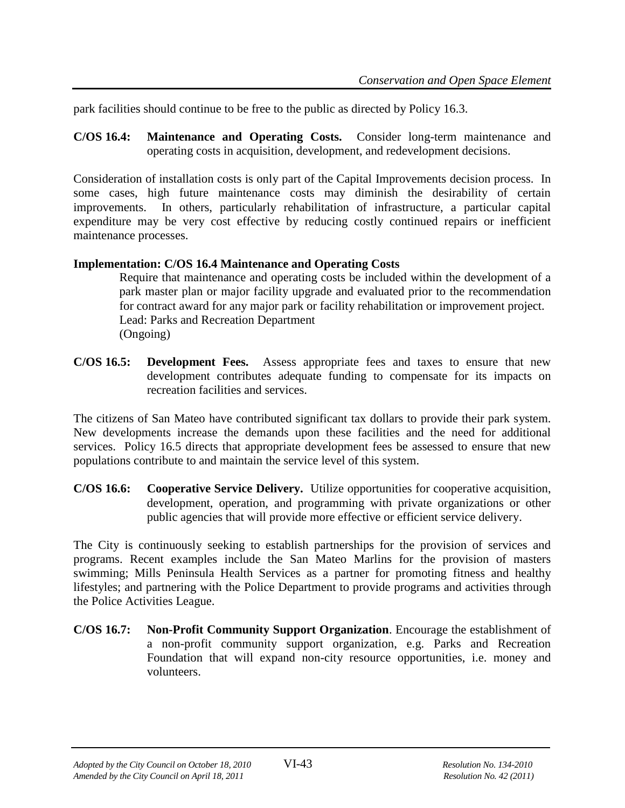park facilities should continue to be free to the public as directed by Policy 16.3.

**C/OS 16.4: Maintenance and Operating Costs.** Consider long-term maintenance and operating costs in acquisition, development, and redevelopment decisions.

Consideration of installation costs is only part of the Capital Improvements decision process. In some cases, high future maintenance costs may diminish the desirability of certain improvements. In others, particularly rehabilitation of infrastructure, a particular capital expenditure may be very cost effective by reducing costly continued repairs or inefficient maintenance processes.

#### **Implementation: C/OS 16.4 Maintenance and Operating Costs**

Require that maintenance and operating costs be included within the development of a park master plan or major facility upgrade and evaluated prior to the recommendation for contract award for any major park or facility rehabilitation or improvement project. Lead: Parks and Recreation Department (Ongoing)

**C/OS 16.5: Development Fees.** Assess appropriate fees and taxes to ensure that new development contributes adequate funding to compensate for its impacts on recreation facilities and services.

The citizens of San Mateo have contributed significant tax dollars to provide their park system. New developments increase the demands upon these facilities and the need for additional services. Policy 16.5 directs that appropriate development fees be assessed to ensure that new populations contribute to and maintain the service level of this system.

**C/OS 16.6: Cooperative Service Delivery.** Utilize opportunities for cooperative acquisition, development, operation, and programming with private organizations or other public agencies that will provide more effective or efficient service delivery.

The City is continuously seeking to establish partnerships for the provision of services and programs. Recent examples include the San Mateo Marlins for the provision of masters swimming; Mills Peninsula Health Services as a partner for promoting fitness and healthy lifestyles; and partnering with the Police Department to provide programs and activities through the Police Activities League.

**C/OS 16.7: Non-Profit Community Support Organization**. Encourage the establishment of a non-profit community support organization, e.g. Parks and Recreation Foundation that will expand non-city resource opportunities, i.e. money and volunteers.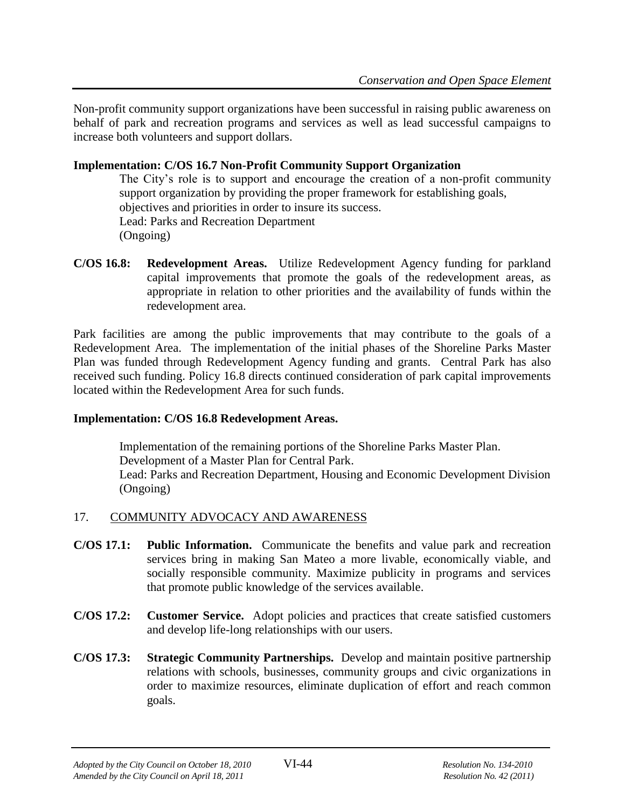Non-profit community support organizations have been successful in raising public awareness on behalf of park and recreation programs and services as well as lead successful campaigns to increase both volunteers and support dollars.

#### **Implementation: C/OS 16.7 Non-Profit Community Support Organization**

The City's role is to support and encourage the creation of a non-profit community support organization by providing the proper framework for establishing goals, objectives and priorities in order to insure its success. Lead: Parks and Recreation Department (Ongoing)

**C/OS 16.8: Redevelopment Areas.** Utilize Redevelopment Agency funding for parkland capital improvements that promote the goals of the redevelopment areas, as appropriate in relation to other priorities and the availability of funds within the redevelopment area.

Park facilities are among the public improvements that may contribute to the goals of a Redevelopment Area. The implementation of the initial phases of the Shoreline Parks Master Plan was funded through Redevelopment Agency funding and grants. Central Park has also received such funding. Policy 16.8 directs continued consideration of park capital improvements located within the Redevelopment Area for such funds.

#### **Implementation: C/OS 16.8 Redevelopment Areas.**

Implementation of the remaining portions of the Shoreline Parks Master Plan. Development of a Master Plan for Central Park. Lead: Parks and Recreation Department, Housing and Economic Development Division (Ongoing)

# 17. COMMUNITY ADVOCACY AND AWARENESS

- **C/OS 17.1: Public Information.** Communicate the benefits and value park and recreation services bring in making San Mateo a more livable, economically viable, and socially responsible community. Maximize publicity in programs and services that promote public knowledge of the services available.
- **C/OS 17.2: Customer Service.** Adopt policies and practices that create satisfied customers and develop life-long relationships with our users.
- **C/OS 17.3: Strategic Community Partnerships.** Develop and maintain positive partnership relations with schools, businesses, community groups and civic organizations in order to maximize resources, eliminate duplication of effort and reach common goals.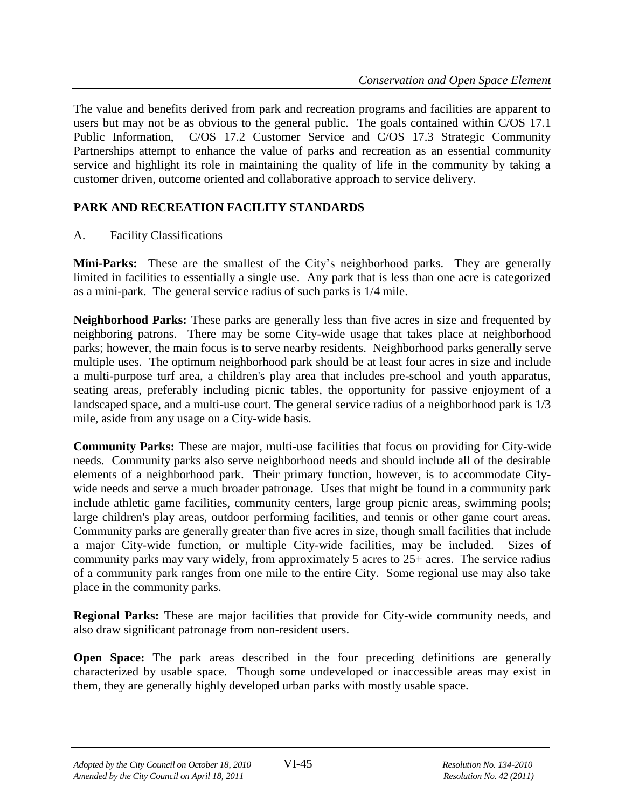The value and benefits derived from park and recreation programs and facilities are apparent to users but may not be as obvious to the general public. The goals contained within C/OS 17.1 Public Information, C/OS 17.2 Customer Service and C/OS 17.3 Strategic Community Partnerships attempt to enhance the value of parks and recreation as an essential community service and highlight its role in maintaining the quality of life in the community by taking a customer driven, outcome oriented and collaborative approach to service delivery.

# **PARK AND RECREATION FACILITY STANDARDS**

# A. Facility Classifications

**Mini-Parks:** These are the smallest of the City's neighborhood parks. They are generally limited in facilities to essentially a single use. Any park that is less than one acre is categorized as a mini-park. The general service radius of such parks is 1/4 mile.

**Neighborhood Parks:** These parks are generally less than five acres in size and frequented by neighboring patrons. There may be some City-wide usage that takes place at neighborhood parks; however, the main focus is to serve nearby residents. Neighborhood parks generally serve multiple uses. The optimum neighborhood park should be at least four acres in size and include a multi-purpose turf area, a children's play area that includes pre-school and youth apparatus, seating areas, preferably including picnic tables, the opportunity for passive enjoyment of a landscaped space, and a multi-use court. The general service radius of a neighborhood park is 1/3 mile, aside from any usage on a City-wide basis.

**Community Parks:** These are major, multi-use facilities that focus on providing for City-wide needs. Community parks also serve neighborhood needs and should include all of the desirable elements of a neighborhood park. Their primary function, however, is to accommodate Citywide needs and serve a much broader patronage. Uses that might be found in a community park include athletic game facilities, community centers, large group picnic areas, swimming pools; large children's play areas, outdoor performing facilities, and tennis or other game court areas. Community parks are generally greater than five acres in size, though small facilities that include a major City-wide function, or multiple City-wide facilities, may be included. Sizes of community parks may vary widely, from approximately 5 acres to 25+ acres. The service radius of a community park ranges from one mile to the entire City. Some regional use may also take place in the community parks.

**Regional Parks:** These are major facilities that provide for City-wide community needs, and also draw significant patronage from non-resident users.

**Open Space:** The park areas described in the four preceding definitions are generally characterized by usable space. Though some undeveloped or inaccessible areas may exist in them, they are generally highly developed urban parks with mostly usable space.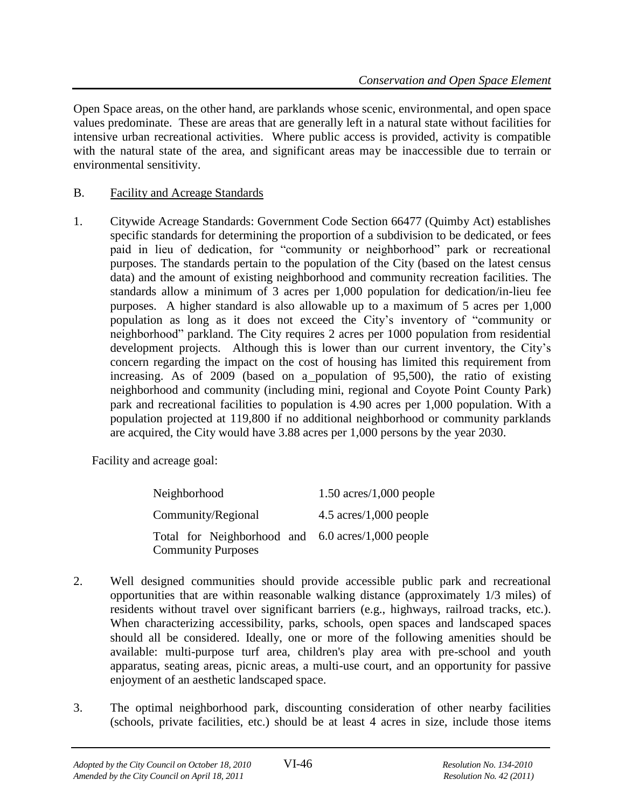Open Space areas, on the other hand, are parklands whose scenic, environmental, and open space values predominate. These are areas that are generally left in a natural state without facilities for intensive urban recreational activities. Where public access is provided, activity is compatible with the natural state of the area, and significant areas may be inaccessible due to terrain or environmental sensitivity.

#### B. Facility and Acreage Standards

1. Citywide Acreage Standards: Government Code Section 66477 (Quimby Act) establishes specific standards for determining the proportion of a subdivision to be dedicated, or fees paid in lieu of dedication, for "community or neighborhood" park or recreational purposes. The standards pertain to the population of the City (based on the latest census data) and the amount of existing neighborhood and community recreation facilities. The standards allow a minimum of 3 acres per 1,000 population for dedication/in-lieu fee purposes. A higher standard is also allowable up to a maximum of 5 acres per 1,000 population as long as it does not exceed the City's inventory of "community or neighborhood" parkland. The City requires 2 acres per 1000 population from residential development projects. Although this is lower than our current inventory, the City's concern regarding the impact on the cost of housing has limited this requirement from increasing. As of 2009 (based on a population of 95,500), the ratio of existing neighborhood and community (including mini, regional and Coyote Point County Park) park and recreational facilities to population is 4.90 acres per 1,000 population. With a population projected at 119,800 if no additional neighborhood or community parklands are acquired, the City would have 3.88 acres per 1,000 persons by the year 2030.

Facility and acreage goal:

| Neighborhood                                                                   | $1.50$ acres/1,000 people                |  |
|--------------------------------------------------------------------------------|------------------------------------------|--|
| Community/Regional                                                             | $4.5 \text{ acres}/1,000 \text{ people}$ |  |
| Total for Neighborhood and 6.0 acres/1,000 people<br><b>Community Purposes</b> |                                          |  |

- 2. Well designed communities should provide accessible public park and recreational opportunities that are within reasonable walking distance (approximately 1/3 miles) of residents without travel over significant barriers (e.g., highways, railroad tracks, etc.). When characterizing accessibility, parks, schools, open spaces and landscaped spaces should all be considered. Ideally, one or more of the following amenities should be available: multi-purpose turf area, children's play area with pre-school and youth apparatus, seating areas, picnic areas, a multi-use court, and an opportunity for passive enjoyment of an aesthetic landscaped space.
- 3. The optimal neighborhood park, discounting consideration of other nearby facilities (schools, private facilities, etc.) should be at least 4 acres in size, include those items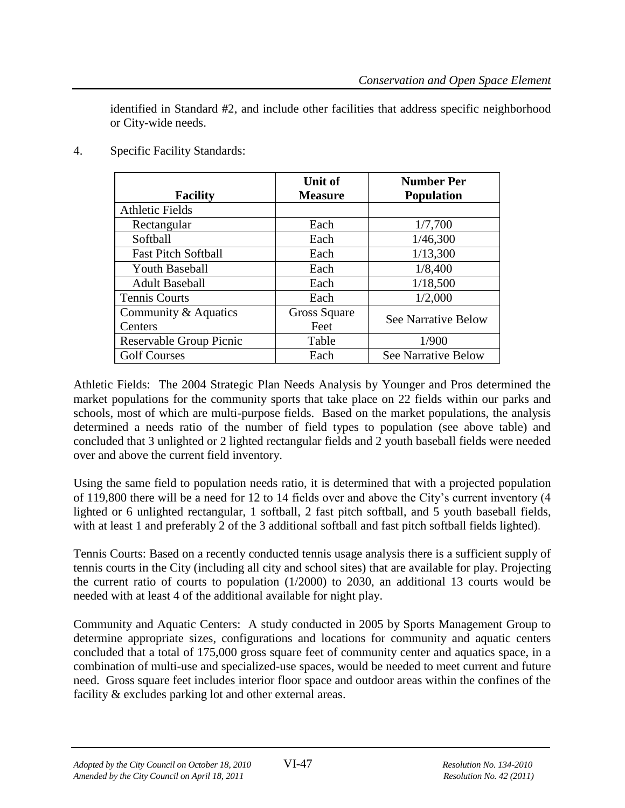identified in Standard #2, and include other facilities that address specific neighborhood or City-wide needs.

4. Specific Facility Standards:

| <b>Facility</b>            | <b>Unit of</b><br><b>Measure</b> | <b>Number Per</b><br><b>Population</b> |  |
|----------------------------|----------------------------------|----------------------------------------|--|
| <b>Athletic Fields</b>     |                                  |                                        |  |
| Rectangular                | Each                             | 1/7,700                                |  |
| Softball                   | Each                             | 1/46,300                               |  |
| <b>Fast Pitch Softball</b> | Each                             | 1/13,300                               |  |
| <b>Youth Baseball</b>      | Each                             | 1/8,400                                |  |
| <b>Adult Baseball</b>      | Each                             | 1/18,500                               |  |
| <b>Tennis Courts</b>       | Each                             | 1/2,000                                |  |
| Community & Aquatics       | Gross Square                     |                                        |  |
| Centers                    | Feet                             | <b>See Narrative Below</b>             |  |
| Reservable Group Picnic    | Table                            | 1/900                                  |  |
| <b>Golf Courses</b>        | Each                             | <b>See Narrative Below</b>             |  |

Athletic Fields: The 2004 Strategic Plan Needs Analysis by Younger and Pros determined the market populations for the community sports that take place on 22 fields within our parks and schools, most of which are multi-purpose fields. Based on the market populations, the analysis determined a needs ratio of the number of field types to population (see above table) and concluded that 3 unlighted or 2 lighted rectangular fields and 2 youth baseball fields were needed over and above the current field inventory.

Using the same field to population needs ratio, it is determined that with a projected population of 119,800 there will be a need for 12 to 14 fields over and above the City's current inventory (4 lighted or 6 unlighted rectangular, 1 softball, 2 fast pitch softball, and 5 youth baseball fields, with at least 1 and preferably 2 of the 3 additional softball and fast pitch softball fields lighted).

Tennis Courts: Based on a recently conducted tennis usage analysis there is a sufficient supply of tennis courts in the City (including all city and school sites) that are available for play. Projecting the current ratio of courts to population (1/2000) to 2030, an additional 13 courts would be needed with at least 4 of the additional available for night play.

Community and Aquatic Centers: A study conducted in 2005 by Sports Management Group to determine appropriate sizes, configurations and locations for community and aquatic centers concluded that a total of 175,000 gross square feet of community center and aquatics space, in a combination of multi-use and specialized-use spaces, would be needed to meet current and future need. Gross square feet includes interior floor space and outdoor areas within the confines of the facility & excludes parking lot and other external areas.